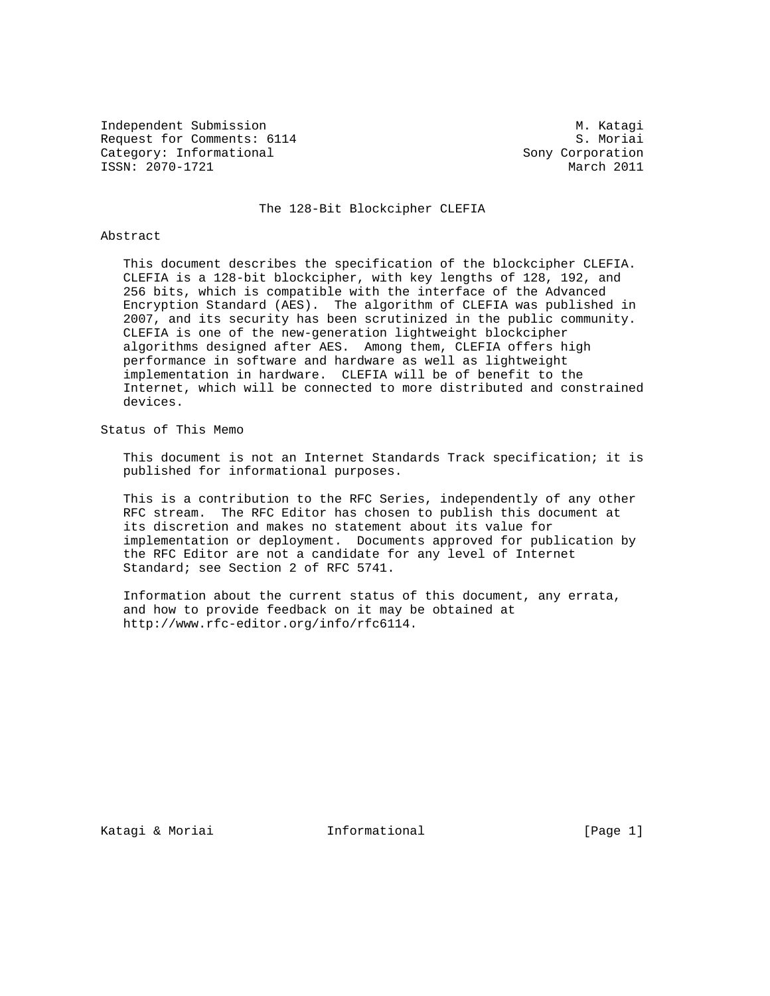Independent Submission M. Katagi Request for Comments: 6114 S. Moriai Category: Informational Sony Corporation ISSN: 2070-1721 March 2011

#### The 128-Bit Blockcipher CLEFIA

### Abstract

 This document describes the specification of the blockcipher CLEFIA. CLEFIA is a 128-bit blockcipher, with key lengths of 128, 192, and 256 bits, which is compatible with the interface of the Advanced Encryption Standard (AES). The algorithm of CLEFIA was published in 2007, and its security has been scrutinized in the public community. CLEFIA is one of the new-generation lightweight blockcipher algorithms designed after AES. Among them, CLEFIA offers high performance in software and hardware as well as lightweight implementation in hardware. CLEFIA will be of benefit to the Internet, which will be connected to more distributed and constrained devices.

Status of This Memo

 This document is not an Internet Standards Track specification; it is published for informational purposes.

 This is a contribution to the RFC Series, independently of any other RFC stream. The RFC Editor has chosen to publish this document at its discretion and makes no statement about its value for implementation or deployment. Documents approved for publication by the RFC Editor are not a candidate for any level of Internet Standard; see Section 2 of RFC 5741.

 Information about the current status of this document, any errata, and how to provide feedback on it may be obtained at http://www.rfc-editor.org/info/rfc6114.

Katagi & Moriai Informational [Page 1]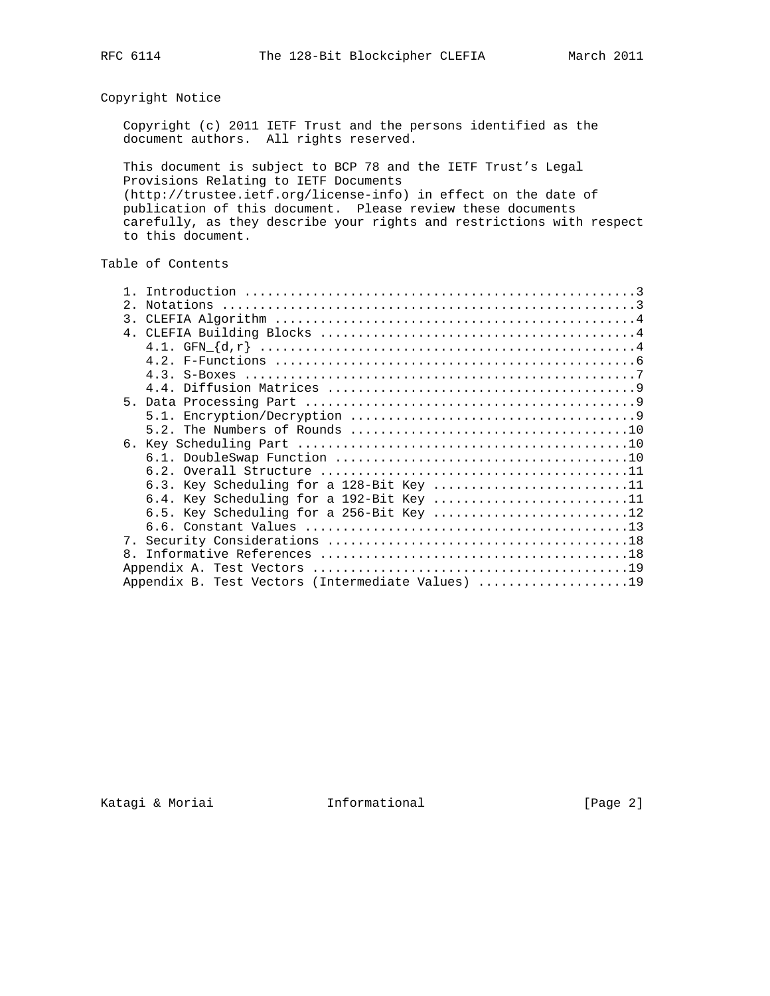# Copyright Notice

 Copyright (c) 2011 IETF Trust and the persons identified as the document authors. All rights reserved.

 This document is subject to BCP 78 and the IETF Trust's Legal Provisions Relating to IETF Documents (http://trustee.ietf.org/license-info) in effect on the date of publication of this document. Please review these documents carefully, as they describe your rights and restrictions with respect to this document.

# Table of Contents

| $2^{\circ}$                                       |                                                                                                                                  |
|---------------------------------------------------|----------------------------------------------------------------------------------------------------------------------------------|
| $\overline{3}$ .                                  |                                                                                                                                  |
|                                                   |                                                                                                                                  |
|                                                   |                                                                                                                                  |
|                                                   |                                                                                                                                  |
|                                                   |                                                                                                                                  |
|                                                   |                                                                                                                                  |
|                                                   |                                                                                                                                  |
|                                                   |                                                                                                                                  |
|                                                   |                                                                                                                                  |
|                                                   |                                                                                                                                  |
|                                                   |                                                                                                                                  |
|                                                   |                                                                                                                                  |
|                                                   |                                                                                                                                  |
|                                                   |                                                                                                                                  |
|                                                   |                                                                                                                                  |
|                                                   |                                                                                                                                  |
|                                                   |                                                                                                                                  |
| 8 <sub>1</sub>                                    |                                                                                                                                  |
|                                                   |                                                                                                                                  |
| Appendix B. Test Vectors (Intermediate Values) 19 |                                                                                                                                  |
|                                                   | 6.3. Key Scheduling for a 128-Bit Key 11<br>6.4. Key Scheduling for a 192-Bit Key 11<br>6.5. Key Scheduling for a 256-Bit Key 12 |

Katagi & Moriai **Informational** (Page 2)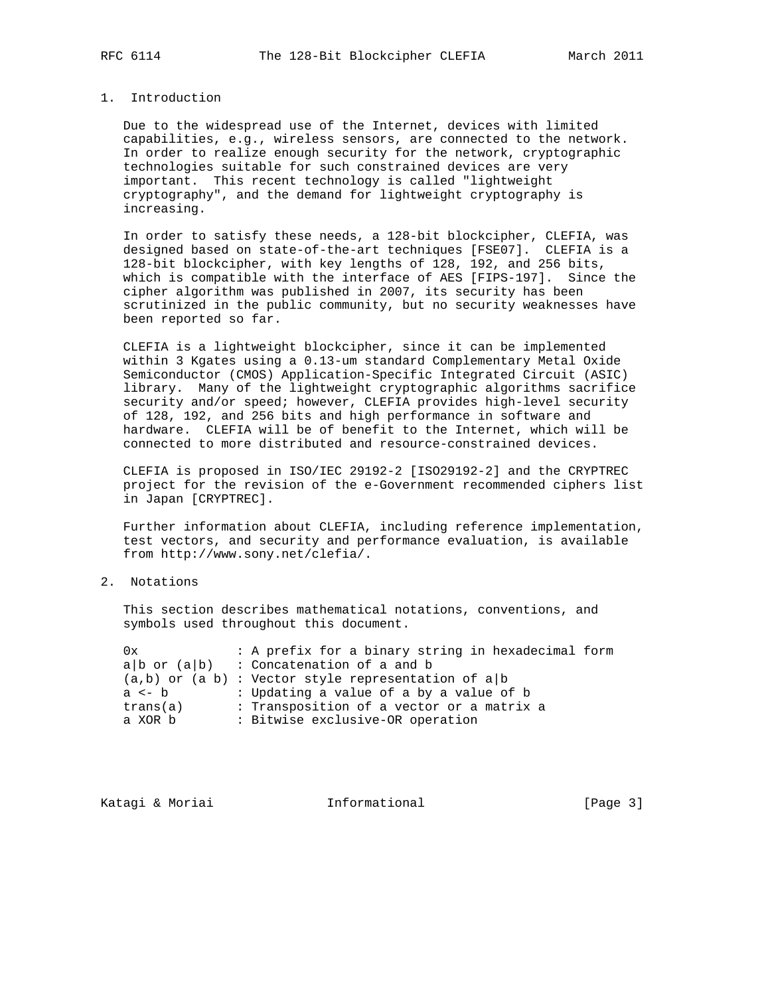## 1. Introduction

 Due to the widespread use of the Internet, devices with limited capabilities, e.g., wireless sensors, are connected to the network. In order to realize enough security for the network, cryptographic technologies suitable for such constrained devices are very important. This recent technology is called "lightweight cryptography", and the demand for lightweight cryptography is increasing.

 In order to satisfy these needs, a 128-bit blockcipher, CLEFIA, was designed based on state-of-the-art techniques [FSE07]. CLEFIA is a 128-bit blockcipher, with key lengths of 128, 192, and 256 bits, which is compatible with the interface of AES [FIPS-197]. Since the cipher algorithm was published in 2007, its security has been scrutinized in the public community, but no security weaknesses have been reported so far.

 CLEFIA is a lightweight blockcipher, since it can be implemented within 3 Kgates using a 0.13-um standard Complementary Metal Oxide Semiconductor (CMOS) Application-Specific Integrated Circuit (ASIC) library. Many of the lightweight cryptographic algorithms sacrifice security and/or speed; however, CLEFIA provides high-level security of 128, 192, and 256 bits and high performance in software and hardware. CLEFIA will be of benefit to the Internet, which will be connected to more distributed and resource-constrained devices.

 CLEFIA is proposed in ISO/IEC 29192-2 [ISO29192-2] and the CRYPTREC project for the revision of the e-Government recommended ciphers list in Japan [CRYPTREC].

 Further information about CLEFIA, including reference implementation, test vectors, and security and performance evaluation, is available from http://www.sony.net/clefia/.

### 2. Notations

 This section describes mathematical notations, conventions, and symbols used throughout this document.

| 0x         | : A prefix for a binary string in hexadecimal form      |  |
|------------|---------------------------------------------------------|--|
|            | $a b$ or $(a b)$ : Concatenation of a and b             |  |
|            | $(a,b)$ or $(a b)$ : Vector style representation of a b |  |
| $a \leq b$ | : Updating a value of a by a value of b                 |  |
| trans(a)   | : Transposition of a vector or a matrix a               |  |
| a XOR b    | : Bitwise exclusive-OR operation                        |  |
|            |                                                         |  |

Katagi & Moriai **Informational** [Page 3]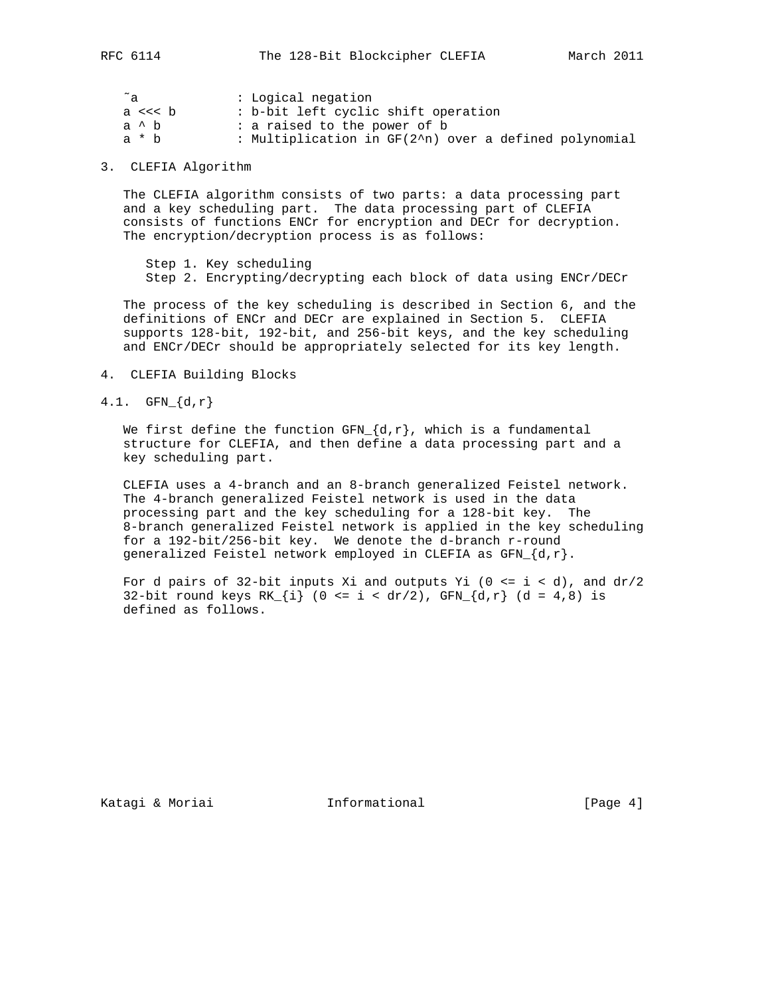| ~a       | : Logical negation                                    |
|----------|-------------------------------------------------------|
| a $<<$ b | : b-bit left cyclic shift operation                   |
| a ^ b    | : a raised to the power of b                          |
| a * h    | : Multiplication in GF(2^n) over a defined polynomial |

3. CLEFIA Algorithm

 The CLEFIA algorithm consists of two parts: a data processing part and a key scheduling part. The data processing part of CLEFIA consists of functions ENCr for encryption and DECr for decryption. The encryption/decryption process is as follows:

 Step 1. Key scheduling Step 2. Encrypting/decrypting each block of data using ENCr/DECr

 The process of the key scheduling is described in Section 6, and the definitions of ENCr and DECr are explained in Section 5. CLEFIA supports 128-bit, 192-bit, and 256-bit keys, and the key scheduling and ENCr/DECr should be appropriately selected for its key length.

- 4. CLEFIA Building Blocks
- 4.1.  $GFN_{d,r}$

We first define the function  $GFN_{d,r}$ , which is a fundamental structure for CLEFIA, and then define a data processing part and a key scheduling part.

 CLEFIA uses a 4-branch and an 8-branch generalized Feistel network. The 4-branch generalized Feistel network is used in the data processing part and the key scheduling for a 128-bit key. The 8-branch generalized Feistel network is applied in the key scheduling for a 192-bit/256-bit key. We denote the d-branch r-round generalized Feistel network employed in CLEFIA as  $GFN_{a}$   $\{d, r\}$ .

For d pairs of 32-bit inputs Xi and outputs Yi ( $0 \le i \le d$ ), and  $dr/2$ 32-bit round keys RK  $\{i\}$  (0 <= i < dr/2), GFN  $\{d, r\}$  (d = 4,8) is defined as follows.

Katagi & Moriai **Informational** [Page 4]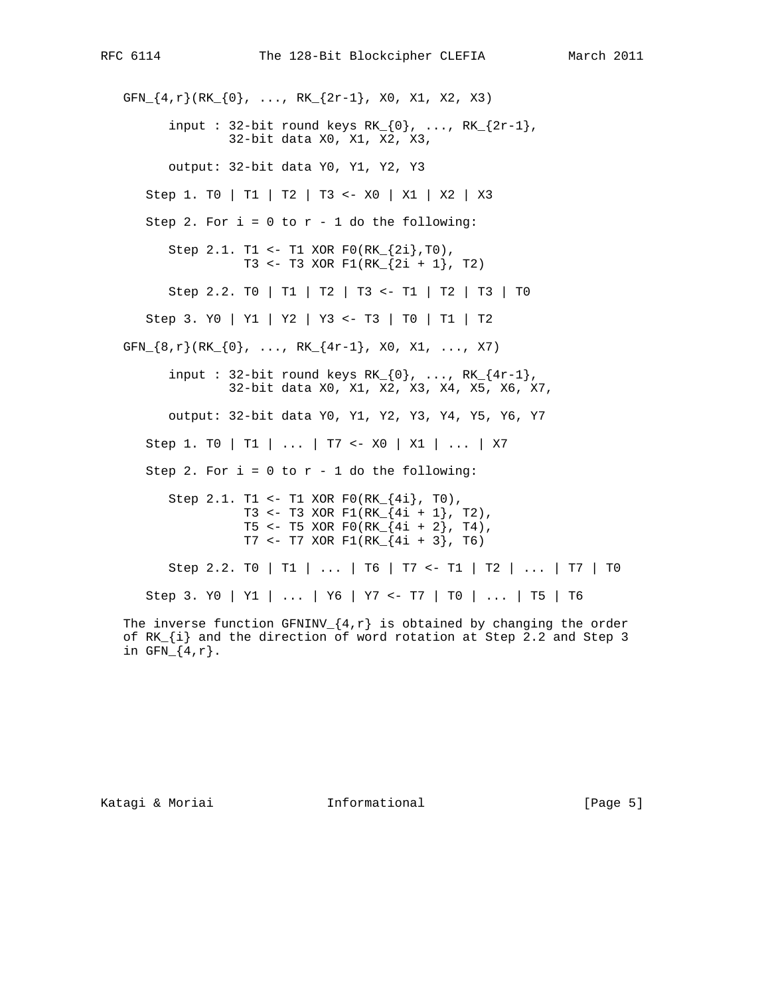GFN $\{4,r\}$ (RK $\{0\}$ , ..., RK $\{2r-1\}$ , X0, X1, X2, X3) input : 32-bit round keys  $RK_{0}$ , ...,  $RK_{2r-1}$ , 32-bit data X0, X1, X2, X3, output: 32-bit data Y0, Y1, Y2, Y3 Step 1. T0 | T1 | T2 | T3 <- X0 | X1 | X2 | X3 Step 2. For  $i = 0$  to  $r - 1$  do the following: Step 2.1. T1 <- T1 XOR  $F0(RK_{12}^{2i},T0)$ , T3 <- T3 XOR F1(RK\_{2i + 1}, T2) Step 2.2. T0 | T1 | T2 | T3 <- T1 | T2 | T3 | T0 Step 3. Y0 | Y1 | Y2 | Y3 <- T3 | T0 | T1 | T2 GFN\_{8,r}(RK\_{0}, ..., RK\_{4r-1}, X0, X1, ..., X7) input : 32-bit round keys  $RK_{0}$ , ...,  $RK_{4r-1}$ , 32-bit data X0, X1, X2, X3, X4, X5, X6, X7, output: 32-bit data Y0, Y1, Y2, Y3, Y4, Y5, Y6, Y7 Step 1. T0 | T1 | ... | T7 <- X0 | X1 | ... | X7 Step 2. For  $i = 0$  to  $r - 1$  do the following: Step 2.1. T1 <- T1 XOR  $F0(RK_{4i}, T0)$ , T3 <- T3 XOR F1(RK\_{4i + 1}, T2), T5 <- T5 XOR F0(RK $_{4i + 2}$ , T4), T7 <- T7 XOR F1(RK  ${4i + 3}$ , T6) Step 2.2. T0 | T1 | ... | T6 | T7 <- T1 | T2 | ... | T7 | T0 Step 3. Y0 | Y1 | ... | Y6 | Y7 <- T7 | T0 | ... | T5 | T6 The inverse function GFNINV  $\{4, r\}$  is obtained by changing the order of RK\_{i} and the direction of word rotation at Step 2.2 and Step 3

Katagi & Moriai **Informational** [Page 5]

in  $GFN_{4,r}.$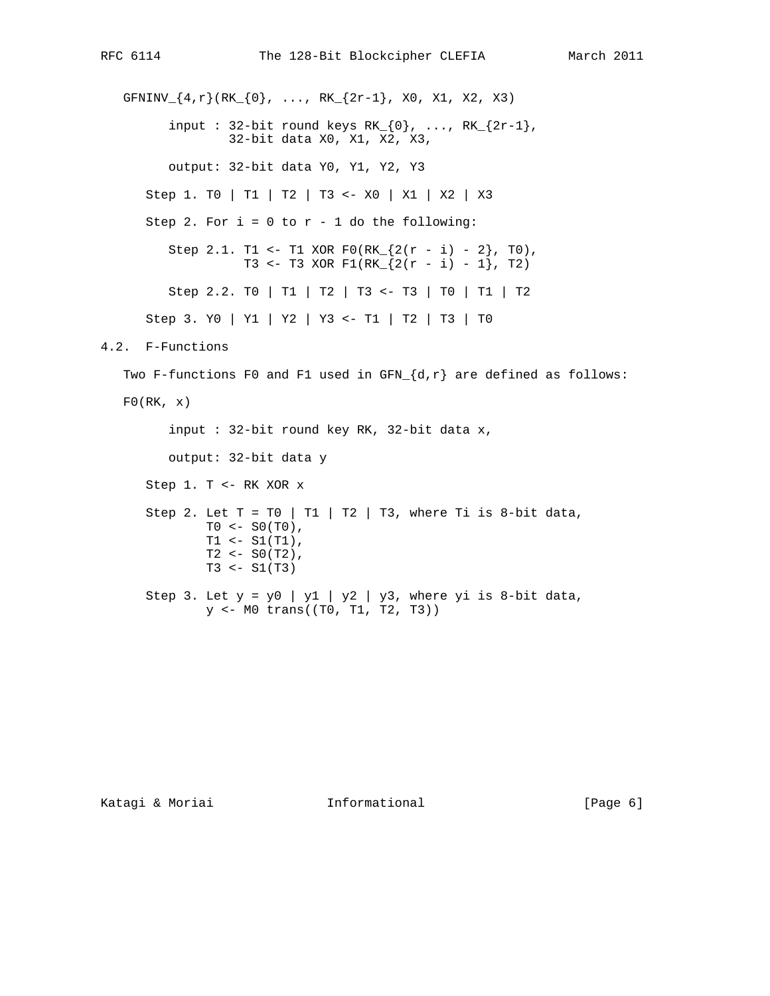```
GFNINV\{4,r\}(RK\{0\}, ..., RK\{2r-1\}, X0, X1, X2, X3)
         input : 32-bit round keys RK_{0}, ..., RK_{2r-1},
                  32-bit data X0, X1, X2, X3,
          output: 32-bit data Y0, Y1, Y2, Y3
       Step 1. T0 | T1 | T2 | T3 <- X0 | X1 | X2 | X3
      Step 2. For i = 0 to r - 1 do the following:
         Step 2.1. T1 <- T1 XOR F0(RK_{2}(2(r - i) - 2), T0),
                   T3 <- T3 XOR F1(RK_{2(r - i) - 1}, T2)
          Step 2.2. T0 | T1 | T2 | T3 <- T3 | T0 | T1 | T2
       Step 3. Y0 | Y1 | Y2 | Y3 <- T1 | T2 | T3 | T0
4.2. F-Functions
  Two F-functions F0 and F1 used in GFN_{d,r} are defined as follows:
  F0(RK, x) input : 32-bit round key RK, 32-bit data x,
          output: 32-bit data y
       Step 1. T <- RK XOR x
      Step 2. Let T = T0 | T1 | T2 | T3, where Ti is 8-bit data,
              TO < - SO(T0),
              T1 <- S1(T1),
              T2 < - SO(T2),
              T3 < - SI(T3)Step 3. Let y = y0 | y1 | y2 | y3, where yi is 8-bit data,
               y <- M0 trans((T0, T1, T2, T3))
```
Katagi & Moriai **Informational** [Page 6]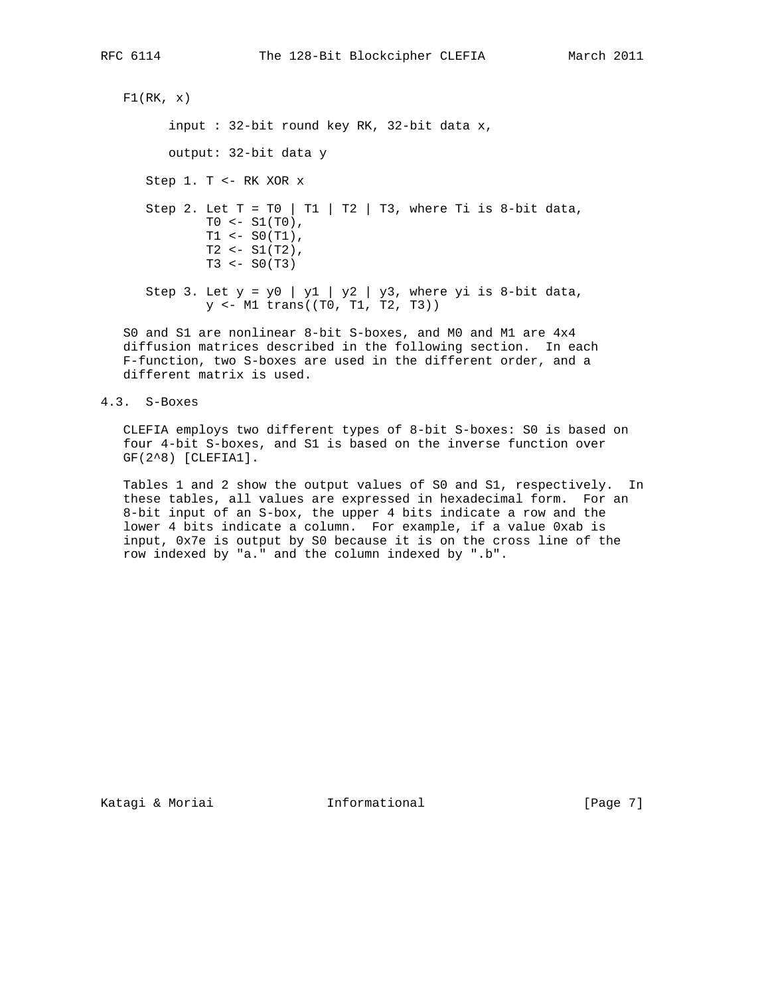```
F1(RK, x) input : 32-bit round key RK, 32-bit data x,
        output: 32-bit data y
     Step 1. T <- RK XOR x
    Step 2. Let T = T0 | T1 | T2 | T3, where Ti is 8-bit data,
             T0 <- S1(T0),
              \begin{minipage}{.4\linewidth} \verb& T1 <= \verb& S0(T1) \end{minipage} \label{eq:2}T2 < - SI(T2),
             T3 < - SO(T3)Step 3. Let y = y0 | y1 | y2 | y3, where yi is 8-bit data,
              y <- M1 trans((T0, T1, T2, T3))
```
 S0 and S1 are nonlinear 8-bit S-boxes, and M0 and M1 are 4x4 diffusion matrices described in the following section. In each F-function, two S-boxes are used in the different order, and a different matrix is used.

4.3. S-Boxes

 CLEFIA employs two different types of 8-bit S-boxes: S0 is based on four 4-bit S-boxes, and S1 is based on the inverse function over GF(2^8) [CLEFIA1].

 Tables 1 and 2 show the output values of S0 and S1, respectively. In these tables, all values are expressed in hexadecimal form. For an 8-bit input of an S-box, the upper 4 bits indicate a row and the lower 4 bits indicate a column. For example, if a value 0xab is input, 0x7e is output by S0 because it is on the cross line of the row indexed by "a." and the column indexed by ".b".

Katagi & Moriai **Informational** [Page 7]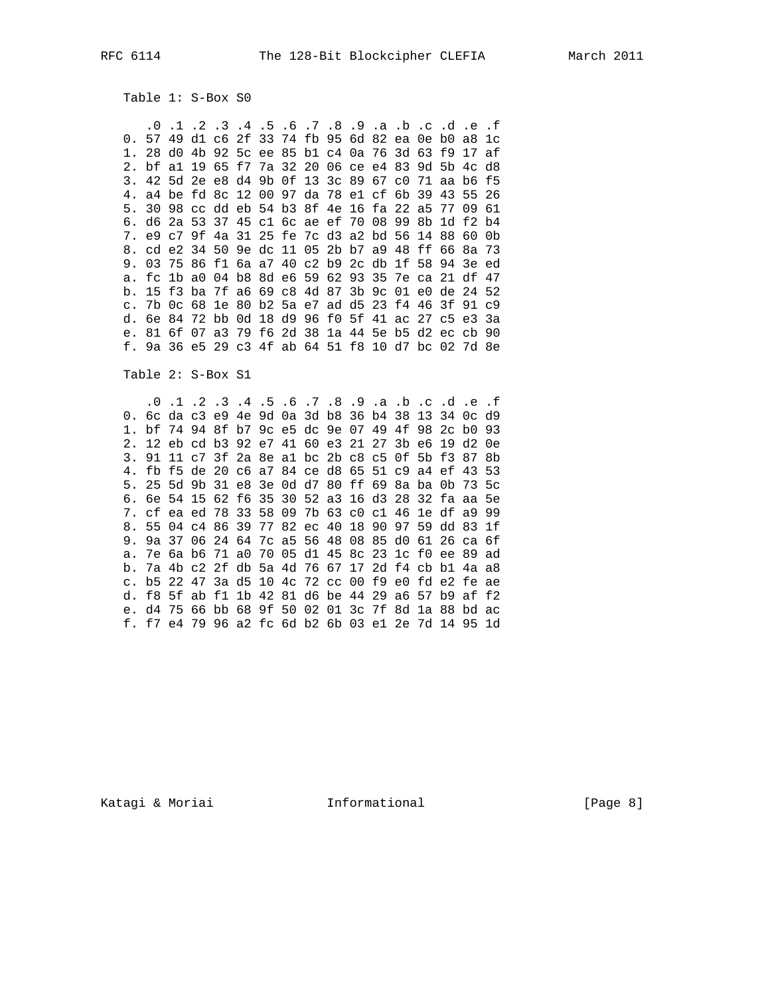Table 1: S-Box S0

 .0 .1 .2 .3 .4 .5 .6 .7 .8 .9 .a .b .c .d .e .f 0. 57 49 d1 c6 2f 33 74 fb 95 6d 82 ea 0e b0 a8 1c 1. 28 d0 4b 92 5c ee 85 b1 c4 0a 76 3d 63 f9 17 af 2. bf a1 19 65 f7 7a 32 20 06 ce e4 83 9d 5b 4c d8 3. 42 5d 2e e8 d4 9b 0f 13 3c 89 67 c0 71 aa b6 f5 4. a4 be fd 8c 12 00 97 da 78 e1 cf 6b 39 43 55 26 5. 30 98 cc dd eb 54 b3 8f 4e 16 fa 22 a5 77 09 61 6. d6 2a 53 37 45 c1 6c ae ef 70 08 99 8b 1d f2 b4 7. e9 c7 9f 4a 31 25 fe 7c d3 a2 bd 56 14 88 60 0b 8. cd e2 34 50 9e dc 11 05 2b b7 a9 48 ff 66 8a 73 9. 03 75 86 f1 6a a7 40 c2 b9 2c db 1f 58 94 3e ed a. fc 1b a0 04 b8 8d e6 59 62 93 35 7e ca 21 df 47 b. 15 f3 ba 7f a6 69 c8 4d 87 3b 9c 01 e0 de 24 52 c. 7b 0c 68 1e 80 b2 5a e7 ad d5 23 f4 46 3f 91 c9 d. 6e 84 72 bb 0d 18 d9 96 f0 5f 41 ac 27 c5 e3 3a e. 81 6f 07 a3 79 f6 2d 38 1a 44 5e b5 d2 ec cb 90 f. 9a 36 e5 29 c3 4f ab 64 51 f8 10 d7 bc 02 7d 8e

Table 2: S-Box S1

 .0 .1 .2 .3 .4 .5 .6 .7 .8 .9 .a .b .c .d .e .f 0. 6c da c3 e9 4e 9d 0a 3d b8 36 b4 38 13 34 0c d9 1. bf 74 94 8f b7 9c e5 dc 9e 07 49 4f 98 2c b0 93 2. 12 eb cd b3 92 e7 41 60 e3 21 27 3b e6 19 d2 0e 3. 91 11 c7 3f 2a 8e a1 bc 2b c8 c5 0f 5b f3 87 8b 4. fb f5 de 20 c6 a7 84 ce d8 65 51 c9 a4 ef 43 53 5. 25 5d 9b 31 e8 3e 0d d7 80 ff 69 8a ba 0b 73 5c 6. 6e 54 15 62 f6 35 30 52 a3 16 d3 28 32 fa aa 5e 7. cf ea ed 78 33 58 09 7b 63 c0 c1 46 1e df a9 99 8. 55 04 c4 86 39 77 82 ec 40 18 90 97 59 dd 83 1f 9. 9a 37 06 24 64 7c a5 56 48 08 85 d0 61 26 ca 6f a. 7e 6a b6 71 a0 70 05 d1 45 8c 23 1c f0 ee 89 ad b. 7a 4b c2 2f db 5a 4d 76 67 17 2d f4 cb b1 4a a8 c. b5 22 47 3a d5 10 4c 72 cc 00 f9 e0 fd e2 fe ae d. f8 5f ab f1 1b 42 81 d6 be 44 29 a6 57 b9 af f2 e. d4 75 66 bb 68 9f 50 02 01 3c 7f 8d 1a 88 bd ac f. f7 e4 79 96 a2 fc 6d b2 6b 03 e1 2e 7d 14 95 1d

Katagi & Moriai Informational [Page 8]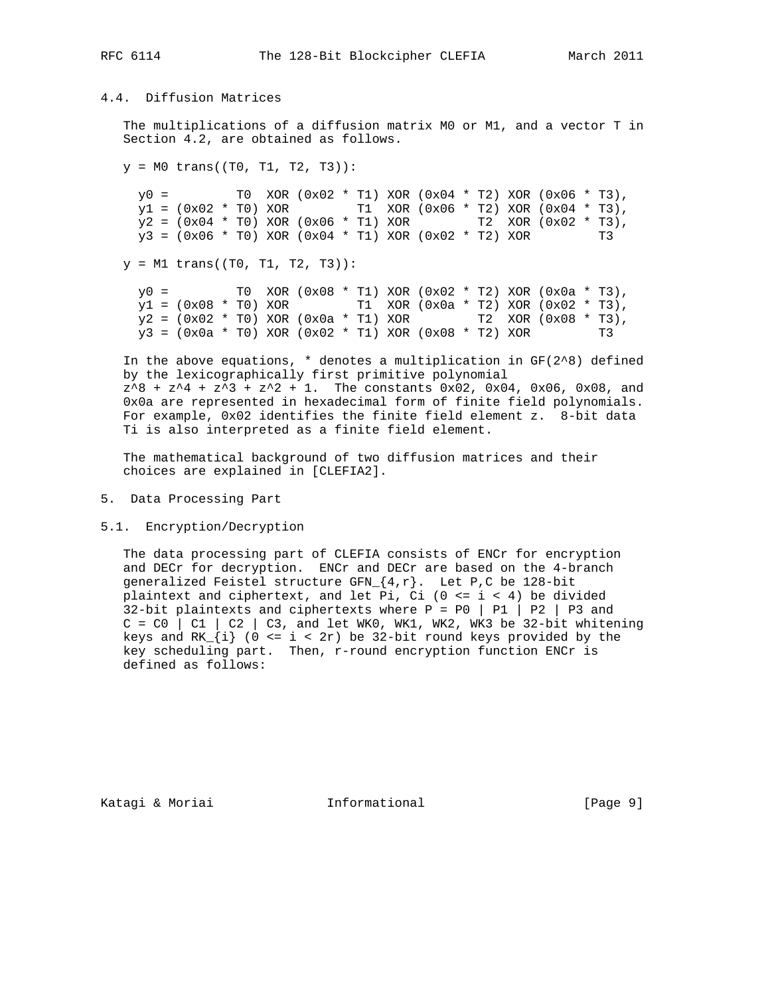# 4.4. Diffusion Matrices

 The multiplications of a diffusion matrix M0 or M1, and a vector T in Section 4.2, are obtained as follows.

 $y = M0$  trans((T0, T1, T2, T3)):  $y0 =$  T0 XOR (0x02 \* T1) XOR (0x04 \* T2) XOR (0x06 \* T3),  $y1 = (0x02 * T0)$  XOR T1 XOR (0x06 \* T2) XOR (0x04 \* T3),  $y2 = (0x04 * T0)$  XOR (0x06 \* T1) XOR  $T2$  XOR (0x02 \* T3),<br>  $y3 = (0x06 * T0)$  XOR (0x04 \* T1) XOR (0x02 \* T2) XOR T3  $y3 = (0x06 * T0) XOR (0x04 * T1) XOR (0x02 * T2) XOR$ 

 $y = M1$  trans((T0, T1, T2, T3)):

 $y0 =$  TO XOR (0x08 \* T1) XOR (0x02 \* T2) XOR (0x0a \* T3),  $y1 = (0x08 * T0)$  XOR T1 XOR  $(0x0a * T2)$  XOR  $(0x02 * T3)$ ,  $y2 = (0x02 * T0)$  XOR  $(0x0a * T1)$  XOR  $T2$  XOR  $(0x08 * T3)$ ,  $y3 = (0x0a * T0) XOR (0x02 * T1) XOR (0x08 * T2) XOR$  T3

In the above equations,  $*$  denotes a multiplication in  $GF(2^8)$  defined by the lexicographically first primitive polynomial  $z^8$  +  $z^4$  +  $z^3$  +  $z^2$  + 1. The constants 0x02, 0x04, 0x06, 0x08, and 0x0a are represented in hexadecimal form of finite field polynomials. For example, 0x02 identifies the finite field element z. 8-bit data Ti is also interpreted as a finite field element.

 The mathematical background of two diffusion matrices and their choices are explained in [CLEFIA2].

- 5. Data Processing Part
- 5.1. Encryption/Decryption

 The data processing part of CLEFIA consists of ENCr for encryption and DECr for decryption. ENCr and DECr are based on the 4-branch generalized Feistel structure GFN ${4,r}$ . Let P,C be 128-bit plaintext and ciphertext, and let Pi, Ci  $(0 \le i \le 4)$  be divided 32-bit plaintexts and ciphertexts where  $P = PQ | P1 | P2 | P3$  and  $C = C0$  | C1 | C2 | C3, and let WK0, WK1, WK2, WK3 be 32-bit whitening keys and  $RK_{i} = i < 2r$  be 32-bit round keys provided by the key scheduling part. Then, r-round encryption function ENCr is defined as follows:

Katagi & Moriai **Informational** (Page 9)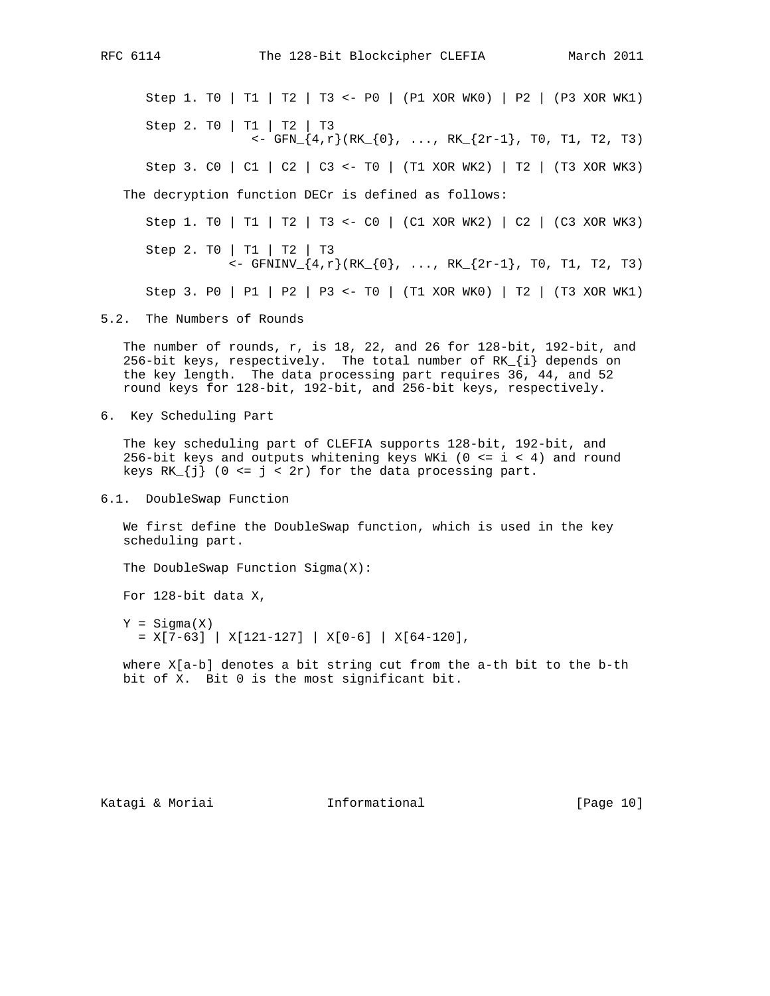Step 1. T0 | T1 | T2 | T3 <- P0 | (P1 XOR WK0) | P2 | (P3 XOR WK1) Step 2. T0 | T1 | T2 | T3  $\langle -\frac{1}{2}F_N \cdot \frac{1}{4}, r \rangle (RK_{\text{F}}(0), ..., RK_{\text{F}}(2r-1), T0, T1, T2, T3)$  Step 3. C0 | C1 | C2 | C3 <- T0 | (T1 XOR WK2) | T2 | (T3 XOR WK3) The decryption function DECr is defined as follows: Step 1. T0 | T1 | T2 | T3 <- C0 | (C1 XOR WK2) | C2 | (C3 XOR WK3) Step 2. T0 | T1 | T2 | T3

<- GFNINV\_{4,r}(RK\_{0}, ..., RK\_{2r-1}, T0, T1, T2, T3)

```
 Step 3. P0 | P1 | P2 | P3 <- T0 | (T1 XOR WK0) | T2 | (T3 XOR WK1)
```
5.2. The Numbers of Rounds

 The number of rounds, r, is 18, 22, and 26 for 128-bit, 192-bit, and 256-bit keys, respectively. The total number of  $RK_{i}$  depends on the key length. The data processing part requires 36, 44, and 52 round keys for 128-bit, 192-bit, and 256-bit keys, respectively.

6. Key Scheduling Part

 The key scheduling part of CLEFIA supports 128-bit, 192-bit, and 256-bit keys and outputs whitening keys WKi ( $0 \le i \le 4$ ) and round keys  $RK_{i} = \{j\}$  (0 <=  $j < 2r$ ) for the data processing part.

6.1. DoubleSwap Function

 We first define the DoubleSwap function, which is used in the key scheduling part.

The DoubleSwap Function Sigma(X):

For 128-bit data X,

 $Y = Sigma(X)$  $=$  X[7-63] | X[121-127] | X[0-6] | X[64-120],

 where X[a-b] denotes a bit string cut from the a-th bit to the b-th bit of X. Bit 0 is the most significant bit.

Katagi & Moriai **Informational** [Page 10]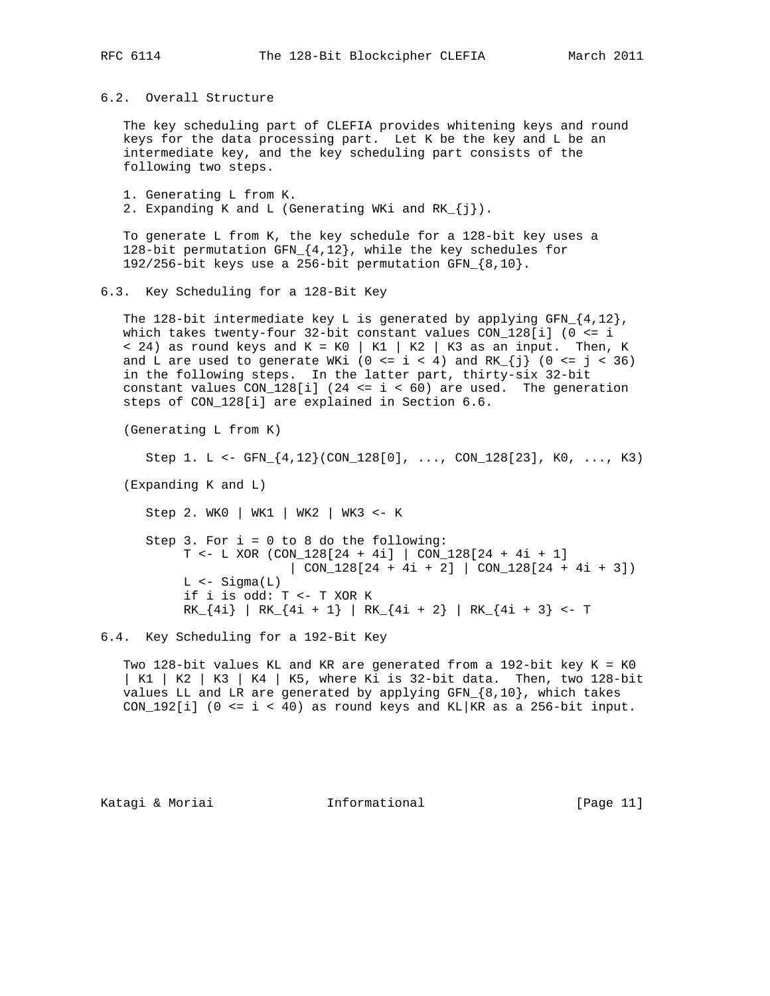6.2. Overall Structure

 The key scheduling part of CLEFIA provides whitening keys and round keys for the data processing part. Let K be the key and L be an intermediate key, and the key scheduling part consists of the following two steps.

 1. Generating L from K. 2. Expanding K and L (Generating WKi and RK\_{j}).

 To generate L from K, the key schedule for a 128-bit key uses a 128-bit permutation GFN\_{4,12}, while the key schedules for 192/256-bit keys use a 256-bit permutation GFN\_{8,10}.

## 6.3. Key Scheduling for a 128-Bit Key

The 128-bit intermediate key L is generated by applying  $GFN_{12}$ , which takes twenty-four 32-bit constant values CON\_128[i] (0 <= i  $<$  24) as round keys and K = K0 | K1 | K2 | K3 as an input. Then, K and L are used to generate WKi (0 <= i < 4) and  $RK_{j}$  (0 <= j < 36) in the following steps. In the latter part, thirty-six 32-bit constant values  $CON_128[i]$  (24 <= i < 60) are used. The generation steps of CON\_128[i] are explained in Section 6.6.

(Generating L from K)

```
Step 1. L <- GFN \{4, 12\} (CON 128[0], ..., CON 128[23], KO, ..., K3)
```
(Expanding K and L)

Step 2. WK0 | WK1 | WK2 | WK3 <- K

 Step 3. For i = 0 to 8 do the following: T <- L XOR (CON\_128[24 + 4i] | CON\_128[24 + 4i + 1] | CON\_128[24 + 4i + 2] | CON\_128[24 + 4i + 3])  $L$  <- Sigma $(L)$  if i is odd: T <- T XOR K RK\_{4i} | RK\_{4i + 1} | RK\_{4i + 2} | RK\_{4i + 3} <- T

6.4. Key Scheduling for a 192-Bit Key

 Two 128-bit values KL and KR are generated from a 192-bit key K = K0 | K1 | K2 | K3 | K4 | K5, where Ki is 32-bit data. Then, two 128-bit values LL and LR are generated by applying GFN  $\{8,10\}$ , which takes CON\_192[i] (0 <= i < 40) as round keys and KL | KR as a 256-bit input.

Katagi & Moriai Informational [Page 11]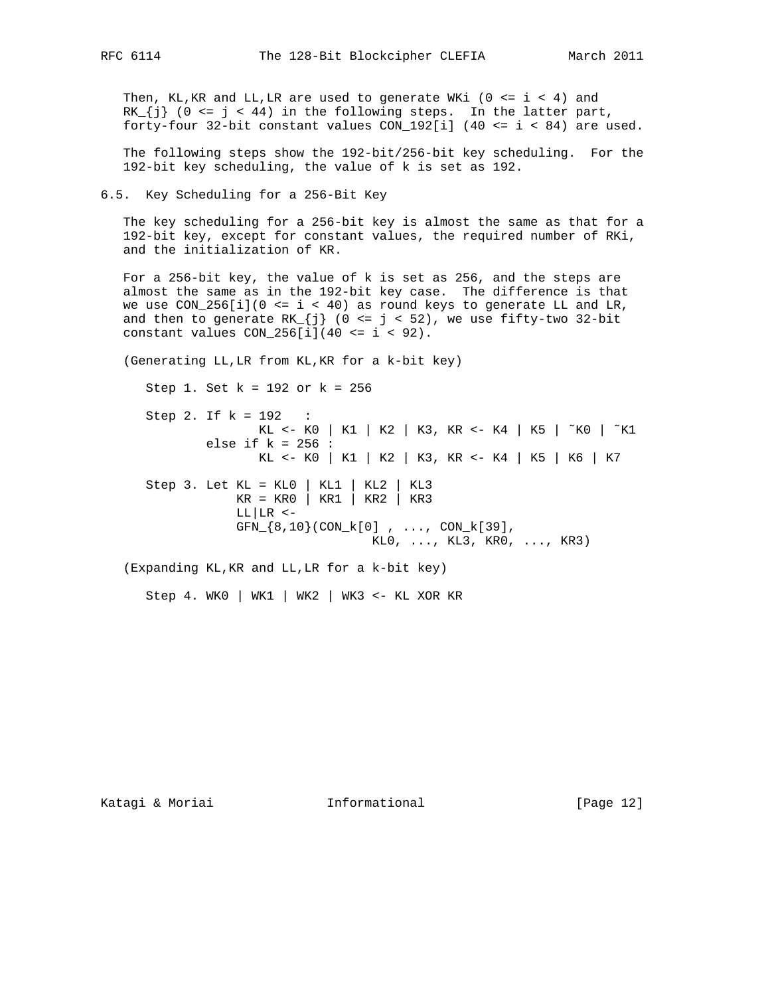Then, KL, KR and LL, LR are used to generate WKi ( $0 \le i \le 4$ ) and  $RK_{i} = j \times 44$  in the following steps. In the latter part, forty-four 32-bit constant values CON\_192[i] (40 <= i < 84) are used.

 The following steps show the 192-bit/256-bit key scheduling. For the 192-bit key scheduling, the value of k is set as 192.

6.5. Key Scheduling for a 256-Bit Key

 The key scheduling for a 256-bit key is almost the same as that for a 192-bit key, except for constant values, the required number of RKi, and the initialization of KR.

 For a 256-bit key, the value of k is set as 256, and the steps are almost the same as in the 192-bit key case. The difference is that we use  $CON_256[i](0 \le i \le 40)$  as round keys to generate LL and LR, and then to generate  $RK_{j}$  (0 <= j < 52), we use fifty-two 32-bit constant values  $CON_256[i](40 \le i \le 92)$ .

(Generating LL,LR from KL,KR for a k-bit key)

 Step 1. Set k = 192 or k = 256 Step 2. If k = 192 : KL <- K0 | K1 | K2 | K3, KR <- K4 | K5 | ˜K0 | ˜K1 else if  $k = 256$ : KL <- K0 | K1 | K2 | K3, KR <- K4 | K5 | K6 | K7 Step 3. Let KL = KL0 | KL1 | KL2 | KL3 KR = KR0 | KR1 | KR2 | KR3  $LL|LR < GFN_{8,10}(CON_k[0], ... , CON_k[39], ...)$  $KL0, ..., KL3, KR0, ..., KR3)$ (Expanding KL,KR and LL,LR for a k-bit key)

Step 4. WK0 | WK1 | WK2 | WK3 <- KL XOR KR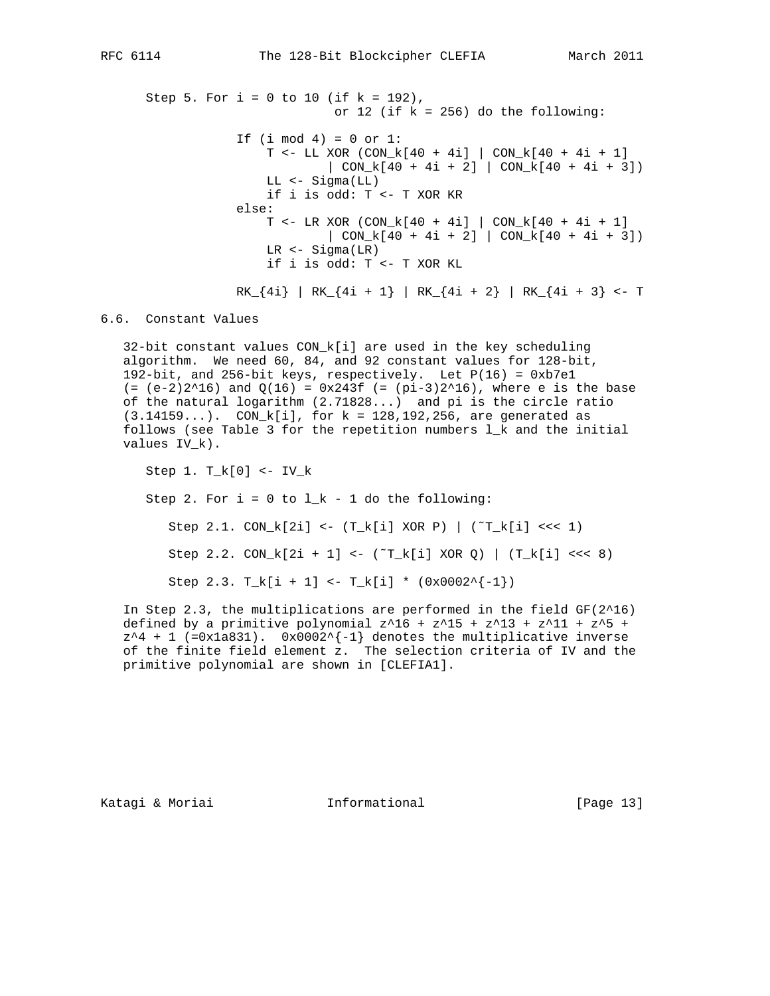Step 5. For  $i = 0$  to 10 (if  $k = 192$ ), or 12 (if  $k = 256$ ) do the following: If  $(i \mod 4) = 0$  or  $1$ : T <- LL XOR (CON\_k[40 + 4i] | CON\_k[40 + 4i + 1]  $|$  CON\_k[40 + 4i + 2]  $|$  CON\_k[40 + 4i + 3]) LL <- Sigma(LL) if i is odd: T <- T XOR KR else: T <- LR XOR (CON\_k[40 + 4i] | CON\_k[40 + 4i + 1]  $| CON_k[40 + 4i + 2] | CON_k[40 + 4i + 3])$  LR <- Sigma(LR) if i is odd: T <- T XOR KL

 $RK_{4i} = RK_{4i} + 1 = RK_{4i} + 2 = RK_{4i} + 3 = 7$ 

## 6.6. Constant Values

 32-bit constant values CON\_k[i] are used in the key scheduling algorithm. We need 60, 84, and 92 constant values for 128-bit, 192-bit, and 256-bit keys, respectively. Let P(16) = 0xb7e1  $(=(e-2)2^16)$  and  $Q(16) = 0x243f (= (pi-3)2^16)$ , where e is the base of the natural logarithm (2.71828...) and pi is the circle ratio (3.14159...). CON\_k[i], for k = 128,192,256, are generated as follows (see Table 3 for the repetition numbers l\_k and the initial values IV\_k).

 Step 1. T\_k[0] <- IV\_k Step 2. For  $i = 0$  to  $l_k - 1$  do the following: Step 2.1.  $CON_k[2i] \leq (T_k[i] \text{ XOR P})$   $(T_k[i] \leq (1)$ Step 2.2.  $CON_k[2i + 1]$  <-  $(^T_k[i]$  XOR Q) |  $(T_k[i]$  <<< 8) Step 2.3.  $T_k[i + 1]$  <-  $T_k[i]$  \*  $(0x0002^{\wedge}(-1))$ 

In Step 2.3, the multiplications are performed in the field  $GF(2^16)$ defined by a primitive polynomial  $z^16 + z^15 + z^13 + z^11 + z^5 +$  $z^4$  + 1 (=0x1a831). 0x0002^{-1} denotes the multiplicative inverse of the finite field element z. The selection criteria of IV and the primitive polynomial are shown in [CLEFIA1].

Katagi & Moriai **Informational** [Page 13]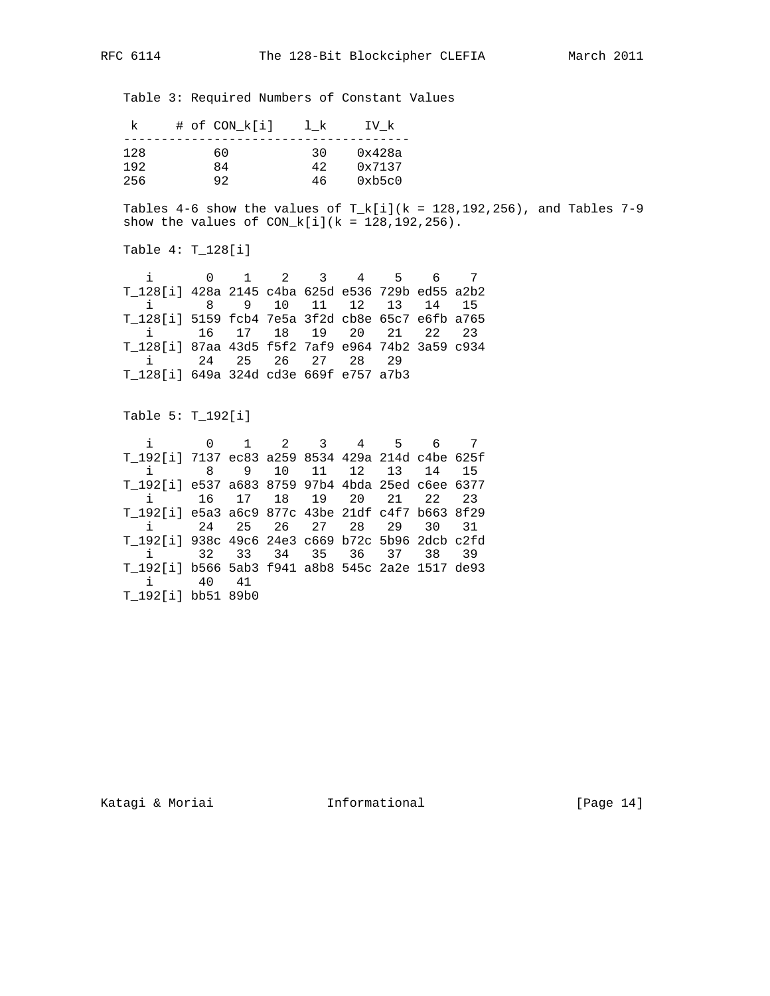Table 3: Required Numbers of Constant Values

|     | # of CON k[i] | 1 k | IV k   |
|-----|---------------|-----|--------|
| 128 | 60            | 30  | 0x428a |
| 192 | 84            | 42  | 0x7137 |
| 256 |               | 46  | 0xb5c0 |

Tables 4-6 show the values of  $T_k[i](k = 128,192,256)$ , and Tables 7-9 show the values of  $CON_k[i](k = 128, 192, 256)$ .

Table 4: T\_128[i]

| i 0 1 2 3 4 5 6 7                                |  |  |  |  |
|--------------------------------------------------|--|--|--|--|
| T_128[i] 428a 2145 c4ba 625d e536 729b ed55 a2b2 |  |  |  |  |
| i 8 9 10 11 12 13 14 15                          |  |  |  |  |
| T_128[i] 5159 fcb4 7e5a 3f2d cb8e 65c7 e6fb a765 |  |  |  |  |
| i 16 17 18 19 20 21 22 23                        |  |  |  |  |
| T_128[i] 87aa 43d5 f5f2 7af9 e964 74b2 3a59 c934 |  |  |  |  |
| i 24 25 26 27 28 29                              |  |  |  |  |
| T 128[i] 649a 324d cd3e 669f e757 a7b3           |  |  |  |  |

Table 5: T\_192[i]

 i 0 1 2 3 4 5 6 7 T\_192[i] 7137 ec83 a259 8534 429a 214d c4be 625f i 8 9 10 11 12 13 14 15 T\_192[i] e537 a683 8759 97b4 4bda 25ed c6ee 6377 i 16 17 18 19 20 21 22 23 T\_192[i] e5a3 a6c9 877c 43be 21df c4f7 b663 8f29 i 24 25 26 27 28 29 30 31 T\_192[i] 938c 49c6 24e3 c669 b72c 5b96 2dcb c2fd i 32 33 34 35 36 37 38 39 T\_192[i] b566 5ab3 f941 a8b8 545c 2a2e 1517 de93 i 40 41 T\_192[i] bb51 89b0

Katagi & Moriai **Informational** [Page 14]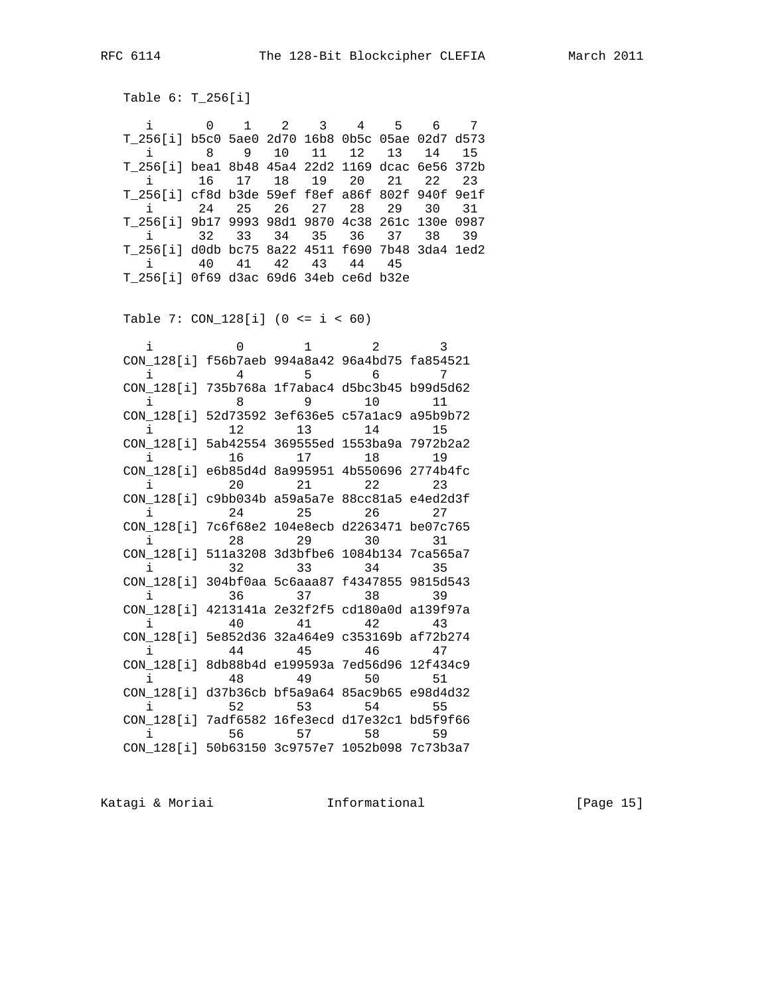Table 6: T\_256[i]

 i 0 1 2 3 4 5 6 7 T\_256[i] b5c0 5ae0 2d70 16b8 0b5c 05ae 02d7 d573 i 8 9 10 11 12 13 14 15 T\_256[i] bea1 8b48 45a4 22d2 1169 dcac 6e56 372b i 16 17 18 19 20 21 22 23 T\_256[i] cf8d b3de 59ef f8ef a86f 802f 940f 9e1f i 24 25 26 27 28 29 30 31 T\_256[i] 9b17 9993 98d1 9870 4c38 261c 130e 0987 i 32 33 34 35 36 37 38 39 T\_256[i] d0db bc75 8a22 4511 f690 7b48 3da4 1ed2 i 40 41 42 43 44 45 T\_256[i] 0f69 d3ac 69d6 34eb ce6d b32e

Table 7: CON\_128[i] (0 <= i < 60)

|                                                |    | 1       | 2     | 3   |
|------------------------------------------------|----|---------|-------|-----|
| CON 128[i] f56b7aeb 994a8a42 96a4bd75 fa854521 |    |         |       |     |
|                                                | 4  | 5       | 6     | 7   |
| CON 128[i] 735b768a 1f7abac4 d5bc3b45 b99d5d62 |    |         |       |     |
| i.                                             | 8  | 9       | 10    | 11  |
| CON 128[i] 52d73592 3ef636e5 c57alac9 a95b9b72 |    |         |       |     |
| i.                                             | 12 | 13      | 14    | 15  |
| CON 128[i] 5ab42554 369555ed 1553ba9a 7972b2a2 |    |         |       |     |
| i.                                             | 16 | 17      | 18    | 19  |
| CON_128[i] e6b85d4d 8a995951 4b550696 2774b4fc |    |         |       |     |
| i.                                             | 20 | 21      | 22    | 23  |
| CON_128[i] c9bb034b a59a5a7e 88cc81a5 e4ed2d3f |    |         |       |     |
| i.                                             | 24 | 25      | 26    | 2.7 |
| CON 128[i] 7c6f68e2 104e8ecb d2263471 be07c765 |    |         |       |     |
| i.                                             | 28 | 29      | 30    | 31  |
| CON 128[i] 511a3208 3d3bfbe6 1084b134 7ca565a7 |    |         |       |     |
| i.                                             | 32 |         | 33 34 | 35  |
| CON 128[i] 304bf0aa 5c6aaa87 f4347855 9815d543 |    |         |       |     |
| $\mathbf{i}$                                   | 36 | 37      | 38    | 39  |
| CON 128[i] 4213141a 2e32f2f5 cd180a0d a139f97a |    |         |       |     |
| i.                                             | 40 | 41      | 42    | 43  |
| CON 128[i] 5e852d36 32a464e9 c353169b af72b274 |    |         |       |     |
| i.                                             | 44 | 45      | 46    | 47  |
| CON 128[i] 8db88b4d e199593a 7ed56d96 12f434c9 |    |         |       |     |
| i.                                             | 48 | 49 — 10 | 50    | 51  |
| CON 128[i] d37b36cb bf5a9a64 85ac9b65 e98d4d32 |    |         |       |     |
| i.                                             | 52 | 53      | 54    | 55  |
| CON 128[i] 7adf6582 16fe3ecd d17e32c1 bd5f9f66 |    |         |       |     |
|                                                | 56 | 57      | 58    | 59  |
| CON 128[i] 50b63150 3c9757e7 1052b098 7c73b3a7 |    |         |       |     |

Katagi & Moriai **Informational** [Page 15]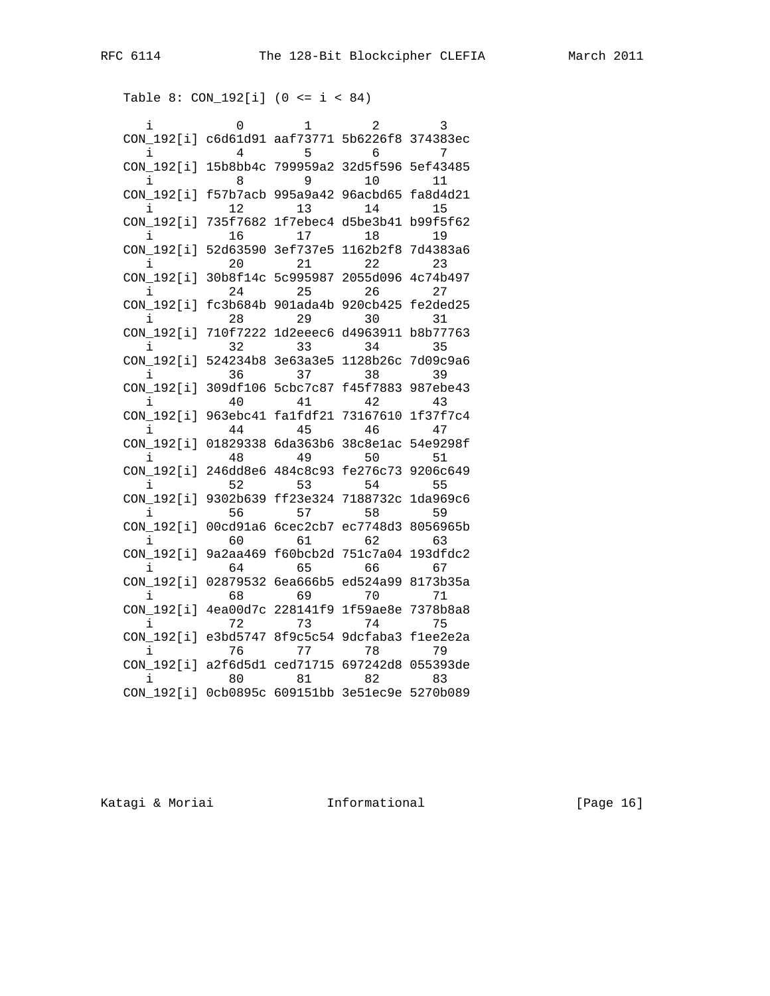|                                                     | 0  | 1                                   | 2               | 3        |
|-----------------------------------------------------|----|-------------------------------------|-----------------|----------|
| CON_192[i] c6d61d91 aaf73771 5b6226f8 374383ec      |    |                                     |                 |          |
| i                                                   | 4  | 5                                   | 6               | 7        |
| CON_192[i] 15b8bb4c 799959a2 32d5f596 5ef43485      |    |                                     |                 |          |
|                                                     | 8  | 9                                   | 10 <sup>°</sup> | 11       |
| CON_192[i] f57b7acb 995a9a42 96acbd65 fa8d4d21      |    |                                     |                 |          |
|                                                     | 12 | 13                                  | 14              | 15       |
| CON_192[i] 735f7682 1f7ebec4 d5be3b41 b99f5f62      |    |                                     |                 |          |
|                                                     | 16 | 17                                  | 18              | 19       |
| CON_192[i] 52d63590 3ef737e5 1162b2f8 7d4383a6      |    |                                     |                 |          |
|                                                     | 20 | 21                                  | 22              | 23       |
| CON_192[i] 30b8f14c 5c995987 2055d096 4c74b497      |    |                                     |                 |          |
| i                                                   | 24 | 25                                  | 26 30           | 27       |
| CON 192[i] fc3b684b 901ada4b 920cb425 fe2ded25      |    |                                     |                 |          |
|                                                     | 28 | 29                                  | 30              | 31       |
| CON 192[i] 710f7222 1d2eeec6 d4963911 b8b77763      |    |                                     |                 |          |
|                                                     | 32 | 33                                  | 34              | 35       |
| CON 192[i] 524234b8 3e63a3e5 1128b26c 7d09c9a6      |    |                                     |                 |          |
|                                                     | 36 | 37                                  | 38              | 39       |
| CON_192[i]                                          |    | 309df106 5cbc7c87 f45f7883 987ebe43 |                 |          |
|                                                     | 40 | 41                                  | 42              | 43       |
| CON_192[i] 963ebc41 falfdf21 73167610               |    |                                     |                 | 1f37f7c4 |
| i.                                                  | 44 | 45                                  | 46              | 47       |
| CON 192[i] 01829338 6da363b6 38c8e1ac 54e9298f      |    |                                     |                 |          |
|                                                     | 48 | 49                                  | 50              | 51       |
| CON 192[i]                                          |    | 246dd8e6 484c8c93 fe276c73 9206c649 |                 |          |
|                                                     | 52 | 53                                  | 54              | 55       |
| CON 192[i] 9302b639 ff23e324 7188732c 1da969c6      | 56 | 57                                  |                 |          |
| i<br>CON_192[i] 00cd91a6 6cec2cb7 ec7748d3 8056965b |    |                                     | 58              | 59       |
| i.                                                  | 60 | 61                                  | 62              | 63       |
| CON_192[i] 9a2aa469 f60bcb2d 751c7a04 193dfdc2      |    |                                     |                 |          |
| i                                                   | 64 | 65                                  | 66 —            | 67       |
| CON 192[i]                                          |    | 02879532 6ea666b5 ed524a99          |                 | 8173b35a |
|                                                     | 68 | 69                                  | 70              | 71       |
| CON 192[i] 4ea00d7c 228141f9 1f59ae8e               |    |                                     |                 | 7378b8a8 |
|                                                     | 72 | 73                                  | 74              | 75       |
| CON_192[i] e3bd5747 8f9c5c54 9dcfaba3 f1ee2e2a      |    |                                     |                 |          |
|                                                     | 76 | 77                                  | 78              | 79       |
| CON_192[i] a2f6d5d1 ced71715 697242d8 055393de      |    |                                     |                 |          |
| i                                                   | 80 | 81                                  | 82              | 83       |
| CON_192[i] 0cb0895c 609151bb 3e51ec9e 5270b089      |    |                                     |                 |          |

Katagi & Moriai **Informational** [Page 16]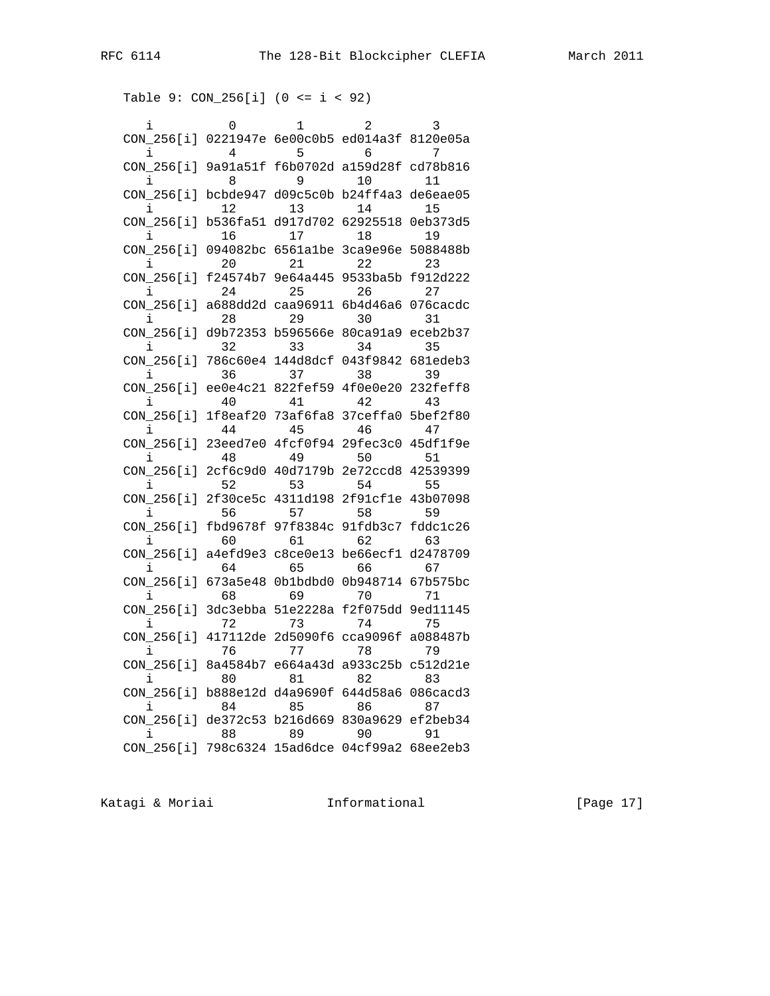```
 Table 9: CON_256[i] (0 <= i < 92)
```

| i          | 0              | 1                          | 2                                   | 3        |
|------------|----------------|----------------------------|-------------------------------------|----------|
| CON 256[i] |                |                            | 0221947e 6e00c0b5 ed014a3f          | 8120e05a |
| i          | 4              | 5                          | 6                                   | 7        |
| CON 256[i] | 9a91a51f       |                            | f6b0702d a159d28f                   | cd78b816 |
|            | 8              | 9                          | 10                                  | 11       |
| CON 256[i] |                |                            | bcbde947 d09c5c0b b24ff4a3 de6eae05 |          |
| i          | 12             | 13                         | 14                                  | 15       |
| CON 256[i] | b536fa51       | d917d702                   | 62925518                            | 0eb373d5 |
|            | 16             | 17                         | 18                                  | 19       |
| CON_256[i] | 094082bc       | 6561a1be                   | 3ca9e96e                            | 5088488b |
|            | 20             | 21                         | 22                                  | 23       |
| CON_256[i] | f24574b7       |                            | 9e64a445 9533ba5b f912d222          |          |
| i          | 24             | 25                         | 26                                  | 27       |
| CON 256[i] |                |                            | a688dd2d caa96911 6b4d46a6          | 076cacdc |
|            | 28             | 29                         | 30                                  | 31       |
| CON_256[i] |                | d9b72353 b596566e 80ca91a9 |                                     | eceb2b37 |
|            | 32             | 33                         | 34                                  | 35       |
| CON 256[i] | 786c60e4       | 144d8dcf                   | 043f9842                            | 681edeb3 |
| i          | 36             | 37                         | 38                                  | 39       |
| CON 256[i] | ee0e4c21       |                            | 822fef59 4f0e0e20                   | 232feff8 |
|            | 40             | 41                         | 42                                  | 43       |
| CON 256[i] | 1f8eaf20       |                            | 73af6fa8 37ceffa0                   | 5bef2f80 |
| i          | 44             | 45                         | 46                                  | 47       |
| CON 256[i] | 23eed7e0       | 4fcf0f94                   | 29fec3c0                            | 45df1f9e |
| i          | 48             | 49                         | 50                                  | 51       |
| CON 256[i] | 2cf6c9d0       | 40d7179b                   | 2e72ccd8                            | 42539399 |
|            | 52             | 53                         | 54                                  | 55       |
| CON 256[i] | 2f30ce5c       | 4311d198                   | 2f91cf1e 43b07098                   |          |
| i.         | 56             | 57                         | 58                                  | 59       |
| CON 256[i] | fbd9678f       |                            | 97f8384c 91fdb3c7                   | fddc1c26 |
| i          | 60             | 61                         | 62                                  | 63       |
| CON 256[i] | a4efd9e3       | c8ce0e13                   | be66ecf1                            | d2478709 |
|            | 64             | 65                         | 66                                  | 67       |
| CON 256[i] | 673a5e48       |                            | 0b1bdbd0 0b948714                   | 67b575bc |
| i          | 68             | 69                         | 70                                  | 71       |
| CON 256[i] | 3dc3ebba       |                            | 51e2228a f2f075dd 9ed11145          |          |
|            | 72             | 73                         | 74                                  | 75       |
| CON 256[i] | 417112de       | 2d5090f6                   | cca9096f                            | a088487b |
|            | 76             | 77                         | 78                                  | 79       |
| CON 256[i] | 8a4584b7       |                            | e664a43d a933c25b                   | c512d21e |
| i          | 80             | 81                         | 82                                  | 83       |
| CON 256[i] |                | b888e12d d4a9690f          | 644d58a6                            | 086cacd3 |
|            | 84             | 85                         | 86                                  | 87       |
| CON_256[i] |                |                            | de372c53 b216d669 830a9629 ef2beb34 |          |
|            | 88<br>798c6324 | 89                         | 90                                  | 91       |
| CON_256[i] |                | 15ad6dce 04cf99a2          |                                     | 68ee2eb3 |

Katagi & Moriai **Informational** [Page 17]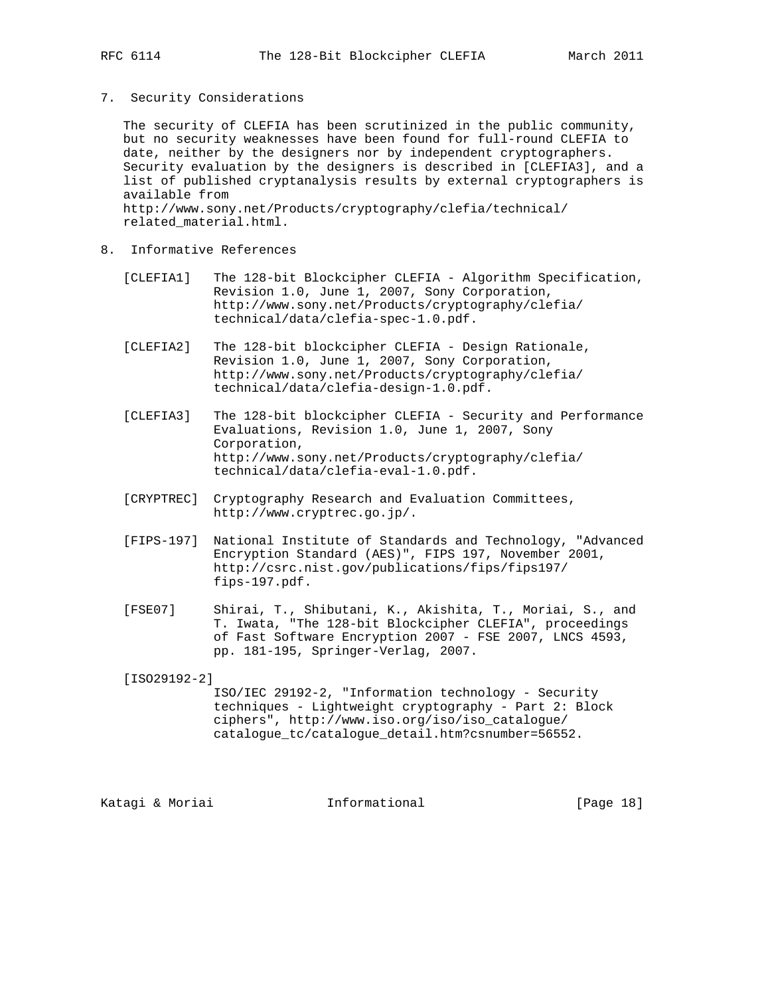7. Security Considerations

 The security of CLEFIA has been scrutinized in the public community, but no security weaknesses have been found for full-round CLEFIA to date, neither by the designers nor by independent cryptographers. Security evaluation by the designers is described in [CLEFIA3], and a list of published cryptanalysis results by external cryptographers is available from http://www.sony.net/Products/cryptography/clefia/technical/ related\_material.html.

- 8. Informative References
	- [CLEFIA1] The 128-bit Blockcipher CLEFIA Algorithm Specification, Revision 1.0, June 1, 2007, Sony Corporation, http://www.sony.net/Products/cryptography/clefia/ technical/data/clefia-spec-1.0.pdf.
	- [CLEFIA2] The 128-bit blockcipher CLEFIA Design Rationale, Revision 1.0, June 1, 2007, Sony Corporation, http://www.sony.net/Products/cryptography/clefia/ technical/data/clefia-design-1.0.pdf.
	- [CLEFIA3] The 128-bit blockcipher CLEFIA Security and Performance Evaluations, Revision 1.0, June 1, 2007, Sony Corporation, http://www.sony.net/Products/cryptography/clefia/ technical/data/clefia-eval-1.0.pdf.
	- [CRYPTREC] Cryptography Research and Evaluation Committees, http://www.cryptrec.go.jp/.
	- [FIPS-197] National Institute of Standards and Technology, "Advanced Encryption Standard (AES)", FIPS 197, November 2001, http://csrc.nist.gov/publications/fips/fips197/ fips-197.pdf.
	- [FSE07] Shirai, T., Shibutani, K., Akishita, T., Moriai, S., and T. Iwata, "The 128-bit Blockcipher CLEFIA", proceedings of Fast Software Encryption 2007 - FSE 2007, LNCS 4593, pp. 181-195, Springer-Verlag, 2007.

[ISO29192-2]

 ISO/IEC 29192-2, "Information technology - Security techniques - Lightweight cryptography - Part 2: Block ciphers", http://www.iso.org/iso/iso\_catalogue/ catalogue\_tc/catalogue\_detail.htm?csnumber=56552.

Katagi & Moriai **Informational** [Page 18]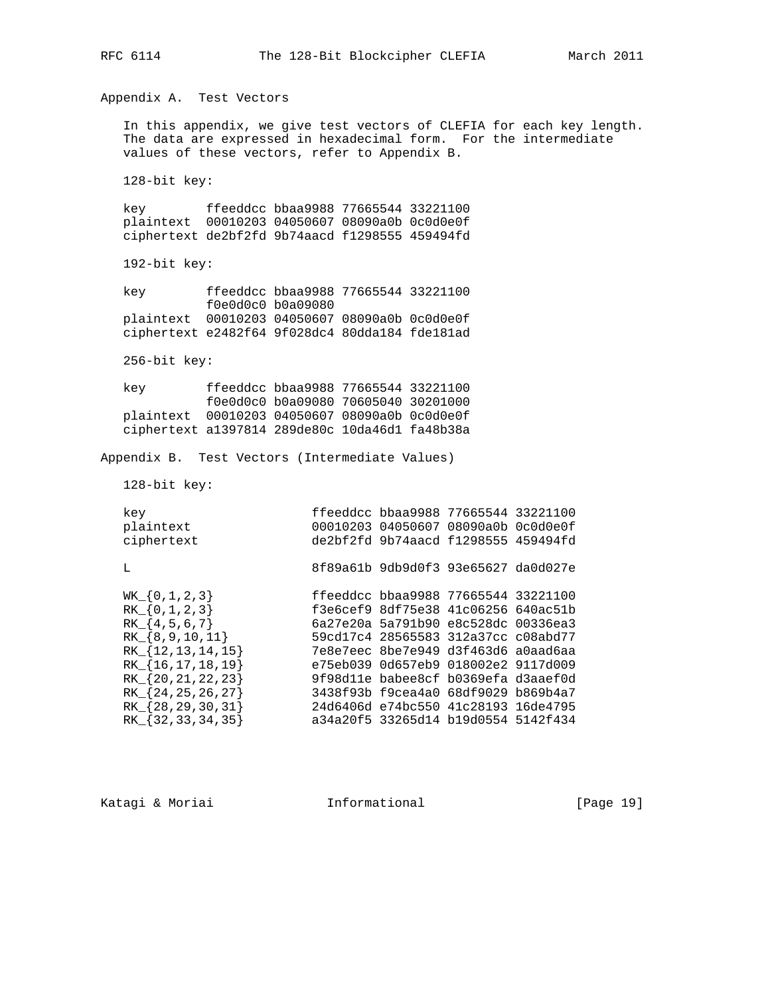Appendix A. Test Vectors

 In this appendix, we give test vectors of CLEFIA for each key length. The data are expressed in hexadecimal form. For the intermediate values of these vectors, refer to Appendix B.

128-bit key:

 key ffeeddcc bbaa9988 77665544 33221100 plaintext 00010203 04050607 08090a0b 0c0d0e0f ciphertext de2bf2fd 9b74aacd f1298555 459494fd

192-bit key:

 key ffeeddcc bbaa9988 77665544 33221100 f0e0d0c0 b0a09080 plaintext 00010203 04050607 08090a0b 0c0d0e0f ciphertext e2482f64 9f028dc4 80dda184 fde181ad

256-bit key:

 key ffeeddcc bbaa9988 77665544 33221100 f0e0d0c0 b0a09080 70605040 30201000 plaintext 00010203 04050607 08090a0b 0c0d0e0f ciphertext a1397814 289de80c 10da46d1 fa48b38a

Appendix B. Test Vectors (Intermediate Values)

128-bit key:

| key                                                                                                                                             | ffeeddcc bbaa9988 77665544 33221100                                                                                                                                                                                                                                           |
|-------------------------------------------------------------------------------------------------------------------------------------------------|-------------------------------------------------------------------------------------------------------------------------------------------------------------------------------------------------------------------------------------------------------------------------------|
| plaintext                                                                                                                                       | 00010203 04050607 08090a0b 0c0d0e0f                                                                                                                                                                                                                                           |
| ciphertext                                                                                                                                      | de2bf2fd 9b74aacd f1298555 459494fd                                                                                                                                                                                                                                           |
| т.                                                                                                                                              | 8f89a61b 9db9d0f3 93e65627 da0d027e                                                                                                                                                                                                                                           |
| $WK_{0,1,2,3}$<br>$RK_{0,1,2,3}$<br>$RK_{4,5,6,7}$<br>$RK_{8,9,10,11}$<br>$RK_{12,13,14,15}$<br>$RK_{16,17,18,19}$<br>$RK_{8}$ {20, 21, 22, 23} | ffeeddcc bbaa9988 77665544 33221100<br>f3e6cef9 8df75e38 41c06256 640ac51b<br>6a27e20a 5a791b90 e8c528dc 00336ea3<br>59cd17c4 28565583 312a37cc c08abd77<br>7e8e7eec 8be7e949 d3f463d6 a0aad6aa<br>e75eb039 0d657eb9 018002e2 9117d009<br>9f98dlle babee8cf b0369efa d3aaef0d |
| $RK_{8}$ {24, 25, 26, 27}                                                                                                                       | 3438f93b f9cea4a0 68df9029 b869b4a7                                                                                                                                                                                                                                           |
| $RK_{8,29,30,31}$                                                                                                                               | 24d6406d e74bc550 41c28193 16de4795                                                                                                                                                                                                                                           |
| $RK_{8}$ {32, 33, 34, 35}                                                                                                                       | a34a20f5 33265d14 b19d0554 5142f434                                                                                                                                                                                                                                           |

Katagi & Moriai **Informational** [Page 19]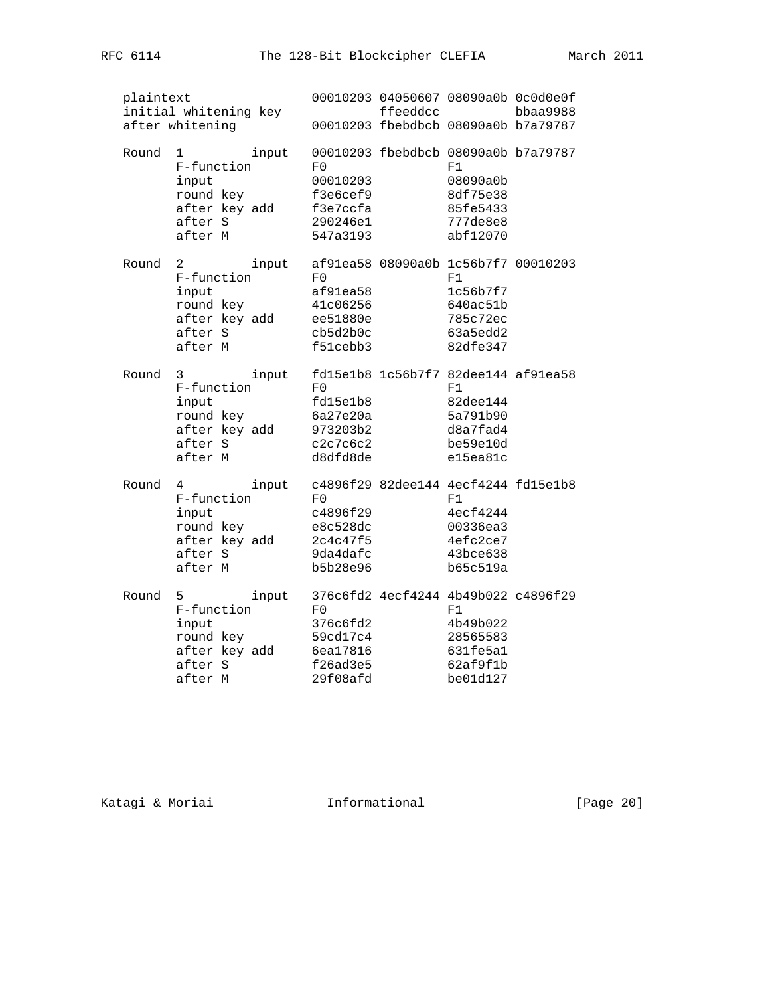| plaintext<br>initial whitening key<br>after whitening |                                                                              |       |                                                                | ffeeddcc |                                                                                                       | 00010203 04050607 08090a0b 0c0d0e0f<br>bbaa9988 |
|-------------------------------------------------------|------------------------------------------------------------------------------|-------|----------------------------------------------------------------|----------|-------------------------------------------------------------------------------------------------------|-------------------------------------------------|
|                                                       |                                                                              |       |                                                                |          | 00010203 fbebdbcb 08090a0b b7a79787                                                                   |                                                 |
| Round                                                 | 1<br>F-function<br>input<br>round key<br>after key add<br>after S<br>after M | input | F0<br>00010203<br>f3e6cef9<br>f3e7ccfa<br>290246e1<br>547a3193 |          | 00010203 fbebdbcb 08090a0b b7a79787<br>F1<br>08090a0b<br>8df75e38<br>85fe5433<br>777de8e8<br>abf12070 |                                                 |
| Round                                                 | 2<br>F-function<br>input<br>round key<br>after key add<br>after S<br>after M | input | F0<br>af91ea58<br>41c06256<br>ee51880e<br>cb5d2b0c<br>f51cebb3 |          | af91ea58 08090a0b 1c56b7f7 00010203<br>F1<br>1c56b7f7<br>640ac51b<br>785c72ec<br>63a5edd2<br>82dfe347 |                                                 |
| Round                                                 | 3<br>F-function<br>input<br>round key<br>after key add<br>after S<br>after M | input | F0<br>fd15e1b8<br>6a27e20a<br>973203b2<br>c2c7c6c2<br>d8dfd8de |          | fd15e1b8 1c56b7f7 82dee144 af91ea58<br>F1<br>82dee144<br>5a791b90<br>d8a7fad4<br>be59e10d<br>e15ea81c |                                                 |
| Round                                                 | 4<br>F-function<br>input<br>round key<br>after key add<br>after S<br>after M | input | F0<br>c4896f29<br>e8c528dc<br>2c4c47f5<br>9da4dafc<br>b5b28e96 |          | c4896f29 82dee144 4ecf4244 fd15e1b8<br>F1<br>4ecf4244<br>00336ea3<br>4efc2ce7<br>43bce638<br>b65c519a |                                                 |
| Round                                                 | 5<br>F-function<br>input<br>round key<br>after key add<br>after S<br>after M | input | F0<br>376c6fd2<br>59cd17c4<br>6ea17816<br>f26ad3e5<br>29f08afd |          | 376c6fd2 4ecf4244 4b49b022 c4896f29<br>F1<br>4b49b022<br>28565583<br>631fe5a1<br>62af9f1b<br>be01d127 |                                                 |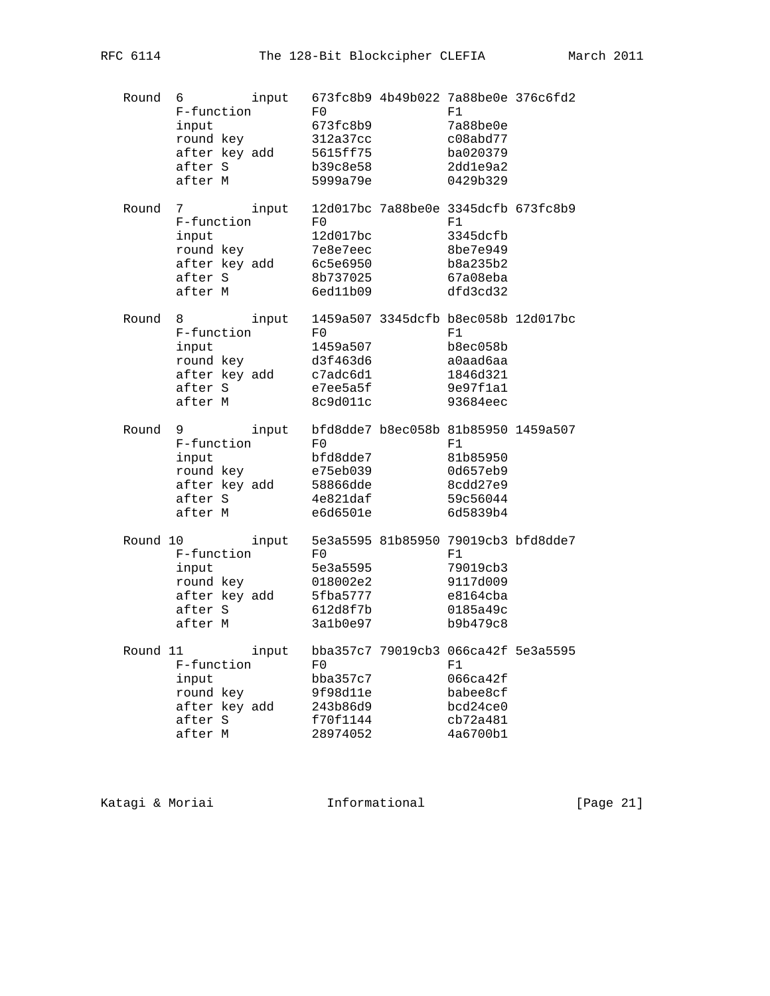| Round    | 6<br>F-function<br>input<br>round key<br>after key add<br>after S<br>after M     | input | F0<br>673fc8b9<br>312a37cc<br>5615ff75<br>b39c8e58<br>5999a79e | 673fc8b9 4b49b022 7a88be0e 376c6fd2<br>F1<br>7a88be0e<br>c08abd77<br>ba020379<br>2dd1e9a2<br>0429b329 |  |
|----------|----------------------------------------------------------------------------------|-------|----------------------------------------------------------------|-------------------------------------------------------------------------------------------------------|--|
| Round    | 7<br>F-function<br>input<br>round key<br>after key add<br>after S<br>after M     | input | F0<br>12d017bc<br>7e8e7eec<br>6c5e6950<br>8b737025<br>6ed11b09 | 12d017bc 7a88be0e 3345dcfb 673fc8b9<br>F1<br>3345dcfb<br>8be7e949<br>b8a235b2<br>67a08eba<br>dfd3cd32 |  |
| Round    | 8 — 1<br>F-function<br>input<br>round key<br>after key add<br>after S<br>after M | input | F0<br>1459a507<br>d3f463d6<br>c7adc6d1<br>e7ee5a5f<br>8c9d011c | 1459a507 3345dcfb b8ec058b 12d017bc<br>F1<br>b8ec058b<br>a0aad6aa<br>1846d321<br>9e97f1a1<br>93684eec |  |
| Round    | 9<br>F-function<br>input<br>round key<br>after key add<br>after S<br>after M     | input | F0<br>bfd8dde7<br>e75eb039<br>58866dde<br>4e821daf<br>e6d6501e | bfd8dde7 b8ec058b 81b85950 1459a507<br>F1<br>81b85950<br>0d657eb9<br>8cdd27e9<br>59c56044<br>6d5839b4 |  |
| Round 10 | F-function<br>input<br>round key<br>after key add<br>after S<br>after M          | input | F0<br>5e3a5595<br>018002e2<br>5fba5777<br>612d8f7b<br>3a1b0e97 | 5e3a5595 81b85950 79019cb3 bfd8dde7<br>F1<br>79019cb3<br>9117d009<br>e8164cba<br>0185a49c<br>b9b479c8 |  |
| Round 11 | F-function<br>input<br>round key<br>after key add<br>after S<br>after M          | input | F0<br>bba357c7<br>9f98d11e<br>243b86d9<br>f70f1144<br>28974052 | bba357c7 79019cb3 066ca42f 5e3a5595<br>F1<br>066ca42f<br>babee8cf<br>bcd24ce0<br>cb72a481<br>4a6700b1 |  |

Katagi & Moriai **Informational** [Page 21]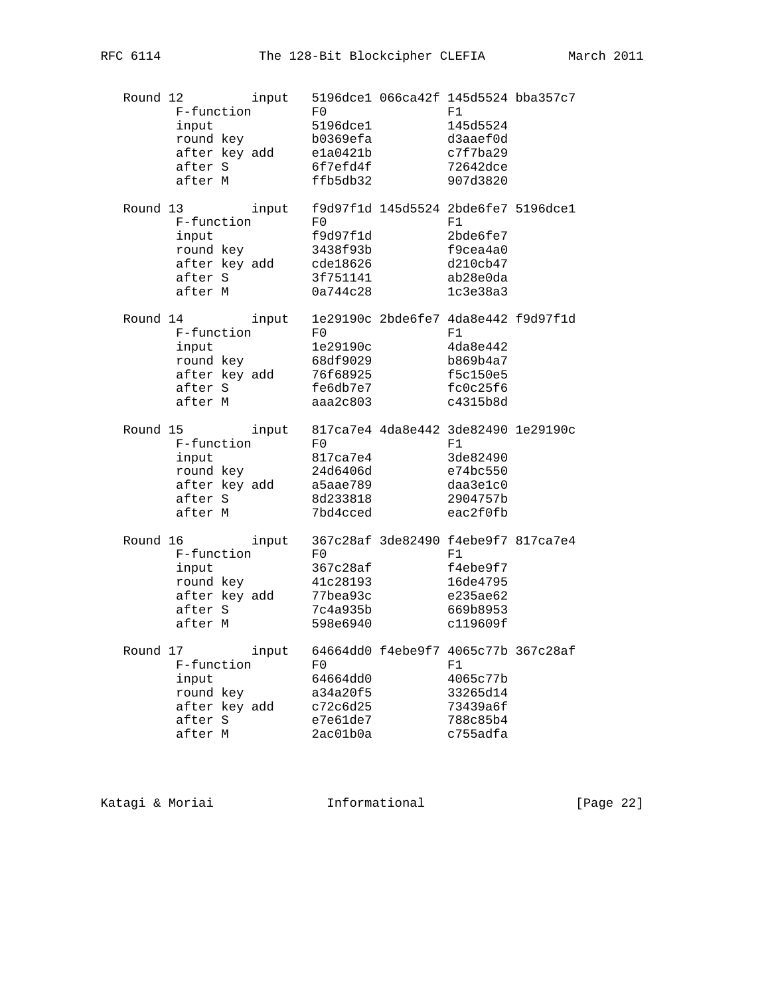| Round 12 | F-function<br>input<br>round key<br>after key add<br>after S<br>after M             | input | F0<br>5196dce1<br>b0369efa<br>e1a0421b<br>6f7efd4f<br>ffb5db32          | 5196dce1 066ca42f 145d5524 bba357c7<br>F1<br>145d5524<br>d3aaef0d<br>c7f7ba29<br>72642dce<br>907d3820       |                                     |
|----------|-------------------------------------------------------------------------------------|-------|-------------------------------------------------------------------------|-------------------------------------------------------------------------------------------------------------|-------------------------------------|
|          | Round 13<br>F-function<br>input<br>round key<br>after key add<br>after S<br>after M | input | ru<br>f9d97f1d<br>3438f93b<br>cde18626<br>3f751141<br>0a744c28          | f9d97f1d 145d5524 2bde6fe7 5196dce1<br>F1<br>2bde6fe7<br>f9cea4a0<br>d210cb47<br>ab28e0da<br>1c3e38a3       |                                     |
|          | Round 14<br>F-function<br>input<br>round key<br>after key add<br>after S<br>after M | input | F0<br>1e29190c<br>68df9029<br>76f68925<br>fe6db7e7<br>aaa2c803          | F1<br>4da8e442<br>b869b4a7<br>f5c150e5<br>fc0c25f6<br>c4315b8d                                              | 1e29190c 2bde6fe7 4da8e442 f9d97f1d |
|          | Round 15<br>F-function<br>input<br>round key<br>after key add<br>after S<br>after M | input | $_{\rm F0}$<br>817ca7e4<br>24d6406d<br>a5aae789<br>8d233818<br>7bd4cced | 817ca7e4 4da8e442 3de82490 1e29190c<br>F1<br>3de82490<br>e74bc550<br>daa3e1c0<br>2904757b<br>eac2f0fb       |                                     |
|          | Round 16<br>F-function<br>input<br>round key<br>after key add<br>after S<br>after M | input | F0.<br>367c28af<br>41c28193<br>77bea93c<br>7c4a935b<br>598e6940         | 367c28af 3de82490 f4ebe9f7 817ca7e4<br>F1<br>f4ebe9f7<br>16de4795<br>e235ae62<br>669b8953<br>c119609f       |                                     |
|          | Round 17<br>F-function<br>input<br>round key<br>after key add<br>after S<br>after M |       | F0<br>64664dd0<br>a34a20f5<br>c72c6d25<br>e7e61de7<br>2ac01b0a          | input 64664dd0 f4ebe9f7 4065c77b 367c28af<br>F1<br>4065c77b<br>33265d14<br>73439a6f<br>788c85b4<br>c755adfa |                                     |

Katagi & Moriai **Informational** [Page 22]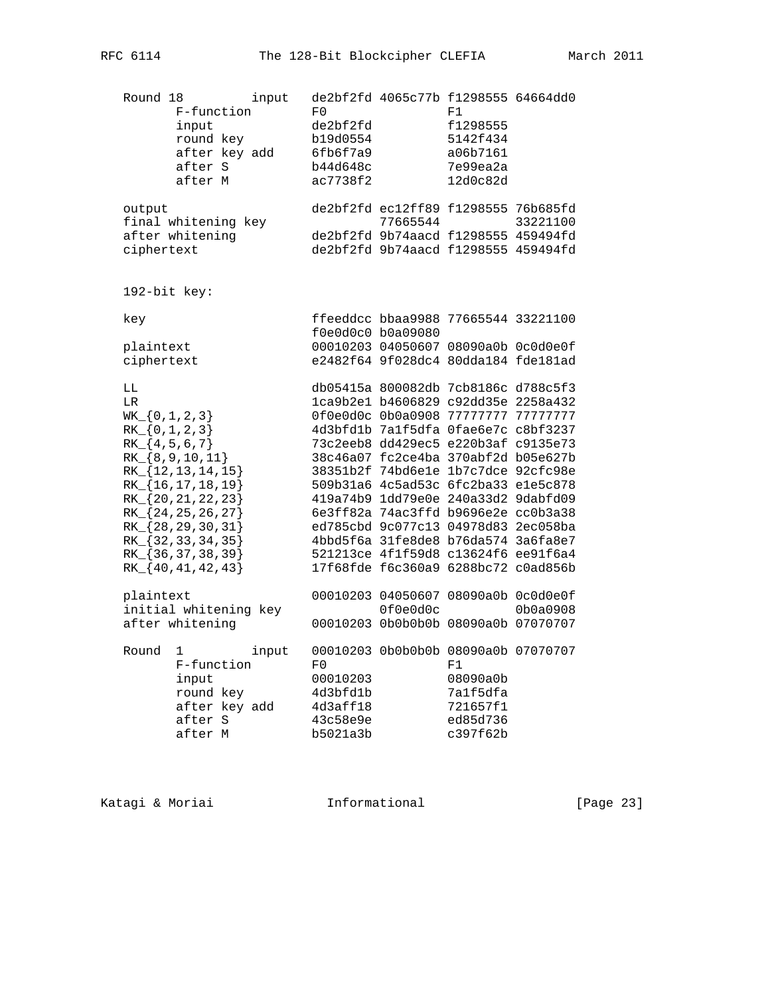| Round 18                                                       | F-function<br>input<br>round key<br>after key add<br>after S<br>after M                                                                                                                                     | input | F0<br>de2bf2fd<br>b19d0554<br>6fb6f7a9<br>b44d648c<br>ac7738f2 | de2bf2fd 4065c77b f1298555 64664dd0                                                                                                                                                                                                                                                                                                                                                                                                                                                                                                                            | F1<br>f1298555<br>5142f434<br>a06b7161<br>7e99ea2a<br>12d0c82d |          |
|----------------------------------------------------------------|-------------------------------------------------------------------------------------------------------------------------------------------------------------------------------------------------------------|-------|----------------------------------------------------------------|----------------------------------------------------------------------------------------------------------------------------------------------------------------------------------------------------------------------------------------------------------------------------------------------------------------------------------------------------------------------------------------------------------------------------------------------------------------------------------------------------------------------------------------------------------------|----------------------------------------------------------------|----------|
| output<br>ciphertext                                           | final whitening key<br>after whitening                                                                                                                                                                      |       |                                                                | de2bf2fd ec12ff89 f1298555 76b685fd<br>77665544<br>de2bf2fd 9b74aacd f1298555 459494fd<br>de2bf2fd 9b74aacd f1298555 459494fd                                                                                                                                                                                                                                                                                                                                                                                                                                  |                                                                | 33221100 |
| 192-bit key:                                                   |                                                                                                                                                                                                             |       |                                                                |                                                                                                                                                                                                                                                                                                                                                                                                                                                                                                                                                                |                                                                |          |
| key<br>plaintext<br>ciphertext                                 |                                                                                                                                                                                                             |       |                                                                | ffeeddcc bbaa9988 77665544 33221100<br>f0e0d0c0 b0a09080<br>00010203 04050607 08090a0b 0c0d0e0f<br>e2482f64 9f028dc4 80dda184 fde181ad                                                                                                                                                                                                                                                                                                                                                                                                                         |                                                                |          |
| LL<br>LR<br>$WK_{0,1,2,3}$<br>$RK_{0,1,2,3}$<br>$RK_{4,5,6,7}$ | RK_{8,9,10,11}<br>$RK_{12,13,14,15}$<br>$RK_{16,17,18,19}$<br>RK_{20, 21, 22, 23}<br>$RK_{8}$ {24, 25, 26, 27}<br>$RK_{28,29,30,31}$<br>RK { 32, 33, 34, 35 }<br>RK [36, 37, 38, 39}<br>$RK_{840,41,42,43}$ |       |                                                                | db05415a 800082db 7cb8186c d788c5f3<br>lca9b2e1 b4606829 c92dd35e 2258a432<br>0f0e0d0c 0b0a0908 77777777 77777777<br>4d3bfd1b 7a1f5dfa 0fae6e7c c8bf3237<br>73c2eeb8 dd429ec5 e220b3af c9135e73<br>38c46a07 fc2ce4ba 370abf2d b05e627b<br>38351b2f 74bd6e1e 1b7c7dce 92cfc98e<br>509b31a6 4c5ad53c 6fc2ba33 e1e5c878<br>419a74b9 1dd79e0e 240a33d2 9dabfd09<br>6e3ff82a 74ac3ffd b9696e2e cc0b3a38<br>ed785cbd 9c077c13 04978d83 2ec058ba<br>4bbd5f6a 31fe8de8 b76da574 3a6fa8e7<br>521213ce 4f1f59d8 c13624f6 ee91f6a4<br>17f68fde f6c360a9 6288bc72 c0ad856b |                                                                |          |
| plaintext                                                      | initial whitening key<br>after whitening                                                                                                                                                                    |       |                                                                | 00010203 04050607 08090a0b 0c0d0e0f<br>0f0e0d0c<br>00010203 0b0b0b0b 08090a0b 07070707                                                                                                                                                                                                                                                                                                                                                                                                                                                                         |                                                                | 0b0a0908 |
| Round                                                          | 1<br>F-function<br>input<br>round key<br>after key add<br>after S<br>after M                                                                                                                                | input | F0<br>00010203<br>4d3bfd1b<br>4d3aff18<br>43c58e9e<br>b5021a3b | 00010203 0b0b0b0b 08090a0b 07070707                                                                                                                                                                                                                                                                                                                                                                                                                                                                                                                            | F1<br>08090a0b<br>7a1f5dfa<br>721657f1<br>ed85d736<br>c397f62b |          |

Katagi & Moriai **Informational** [Page 23]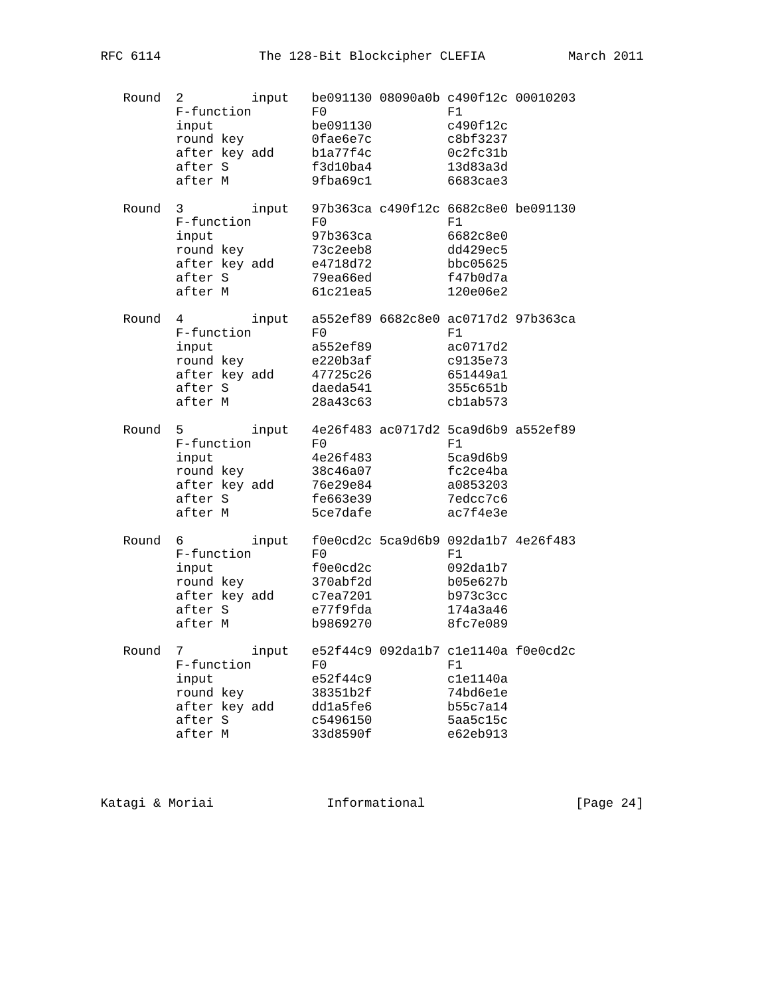| Round | 2<br>F-function<br>input<br>round key<br>after key add<br>after S<br>after M          | input | F0<br>be091130<br>Ofae6e7c<br>bla77f4c<br>f3d10ba4<br>9fba69c1 | be091130 08090a0b c490f12c 00010203<br>F1<br>c490f12c<br>c8bf3237<br>0c2fc31b<br>13d83a3d<br>6683cae3 |  |
|-------|---------------------------------------------------------------------------------------|-------|----------------------------------------------------------------|-------------------------------------------------------------------------------------------------------|--|
| Round | 3<br>F-function<br>input<br>round key<br>after key add<br>after S<br>after M          | input | F0<br>97b363ca<br>73c2eeb8<br>e4718d72<br>79ea66ed<br>61c21ea5 | 97b363ca c490f12c 6682c8e0 be091130<br>F1<br>6682c8e0<br>dd429ec5<br>bbc05625<br>f47b0d7a<br>120e06e2 |  |
| Round | $4\degree$<br>F-function<br>input<br>round key<br>after key add<br>after S<br>after M | input | F0<br>a552ef89<br>e220b3af<br>47725c26<br>daeda541<br>28a43c63 | a552ef89 6682c8e0 ac0717d2 97b363ca<br>F1<br>ac0717d2<br>c9135e73<br>651449a1<br>355c651b<br>cblab573 |  |
| Round | 5<br>F-function<br>input<br>round key<br>after key add<br>after S<br>after M          | input | F0<br>4e26f483<br>38c46a07<br>76e29e84<br>fe663e39<br>5ce7dafe | 4e26f483 ac0717d2 5ca9d6b9 a552ef89<br>F1<br>5ca9d6b9<br>fc2ce4ba<br>a0853203<br>7edcc7c6<br>ac7f4e3e |  |
| Round | 6<br>F-function<br>input<br>round key<br>after key add<br>after S<br>after M          | input | F0<br>f0e0cd2c<br>370abf2d<br>c7ea7201<br>e77f9fda<br>b9869270 | f0e0cd2c 5ca9d6b9 092da1b7 4e26f483<br>F1<br>092da1b7<br>b05e627b<br>b973c3cc<br>174a3a46<br>8fc7e089 |  |
| Round | 7<br>F-function<br>input<br>round key<br>after key add<br>after S<br>after M          | input | F0<br>e52f44c9<br>38351b2f<br>ddla5fe6<br>c5496150<br>33d8590f | e52f44c9 092da1b7 c1e1140a f0e0cd2c<br>F1<br>c1e1140a<br>74bd6e1e<br>b55c7a14<br>5aa5c15c<br>e62eb913 |  |

Katagi & Moriai **Informational** [Page 24]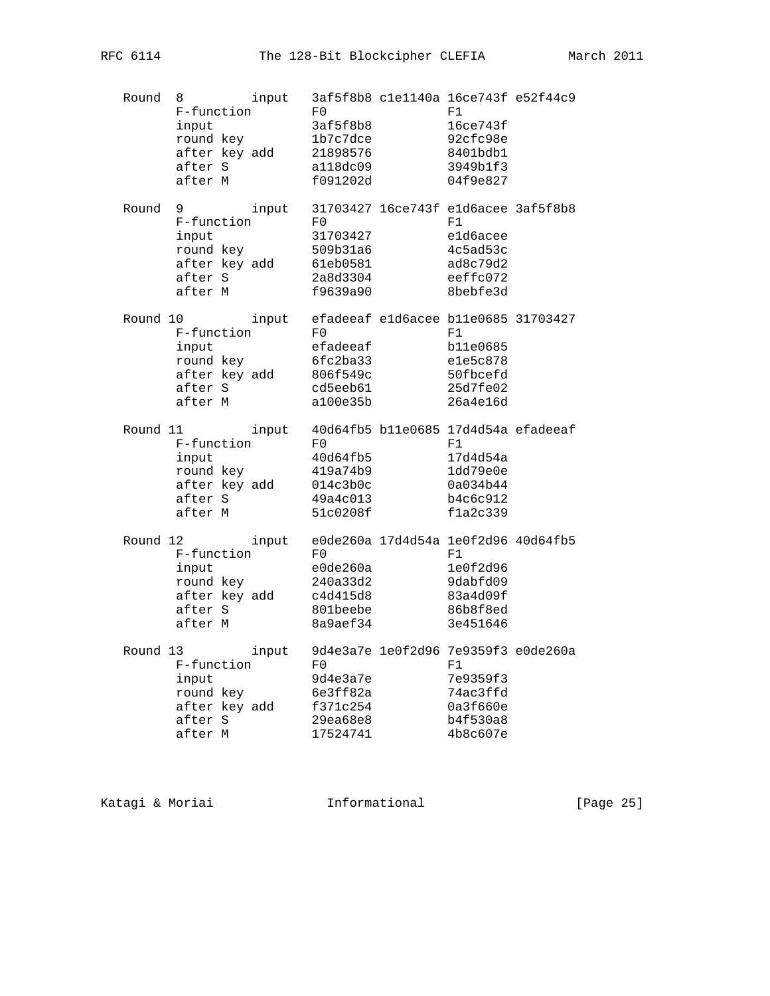| Round | 8<br>F-function<br>input<br>round key<br>after key add<br>after S<br>after M                              | input | F0<br>3af5f8b8<br>1b7c7dce<br>21898576<br>a118dc09<br>f091202d | 3af5f8b8 c1e1140a 16ce743f e52f44c9<br>F1<br>16ce743f<br>92cfc98e<br>8401bdb1<br>3949b1f3<br>04f9e827 |  |
|-------|-----------------------------------------------------------------------------------------------------------|-------|----------------------------------------------------------------|-------------------------------------------------------------------------------------------------------|--|
| Round | $9 \left( \frac{1}{2} \right)$<br>F-function<br>input<br>round key<br>after key add<br>after S<br>after M | input | F0<br>31703427<br>509b31a6<br>61eb0581<br>2a8d3304<br>f9639a90 | 31703427 16ce743f eld6acee 3af5f8b8<br>F1<br>eld6acee<br>4c5ad53c<br>ad8c79d2<br>eeffc072<br>8bebfe3d |  |
|       | Round 10<br>F-function<br>input<br>round key<br>after key add<br>after S<br>after M                       | input | F0<br>efadeeaf<br>6fc2ba33<br>806f549c<br>cd5eeb61<br>a100e35b | efadeeaf eld6acee bl1e0685 31703427<br>F1<br>b11e0685<br>e1e5c878<br>50fbcefd<br>25d7fe02<br>26a4e16d |  |
|       | Round 11<br>F-function<br>input<br>round key<br>after key add<br>after S<br>after M                       | input | F0<br>40d64fb5<br>419a74b9<br>014c3b0c<br>49a4c013<br>51c0208f | 40d64fb5 b11e0685 17d4d54a efadeeaf<br>F1<br>17d4d54a<br>1dd79e0e<br>0a034b44<br>b4c6c912<br>f1a2c339 |  |
|       | Round 12<br>F-function<br>input<br>round key<br>after key add<br>after S<br>after M                       | input | F0<br>e0de260a<br>240a33d2<br>c4d415d8<br>801beebe<br>8a9aef34 | e0de260a 17d4d54a 1e0f2d96 40d64fb5<br>F1<br>1e0f2d96<br>9dabfd09<br>83a4d09f<br>86b8f8ed<br>3e451646 |  |
|       | Round 13<br>F-function<br>input<br>round key<br>after key add<br>after S<br>after M                       | input | F0<br>9d4e3a7e<br>6e3ff82a<br>f371c254<br>29ea68e8<br>17524741 | 9d4e3a7e 1e0f2d96 7e9359f3 e0de260a<br>F1<br>7e9359f3<br>74ac3ffd<br>0a3f660e<br>b4f530a8<br>4b8c607e |  |

Katagi & Moriai **Informational** [Page 25]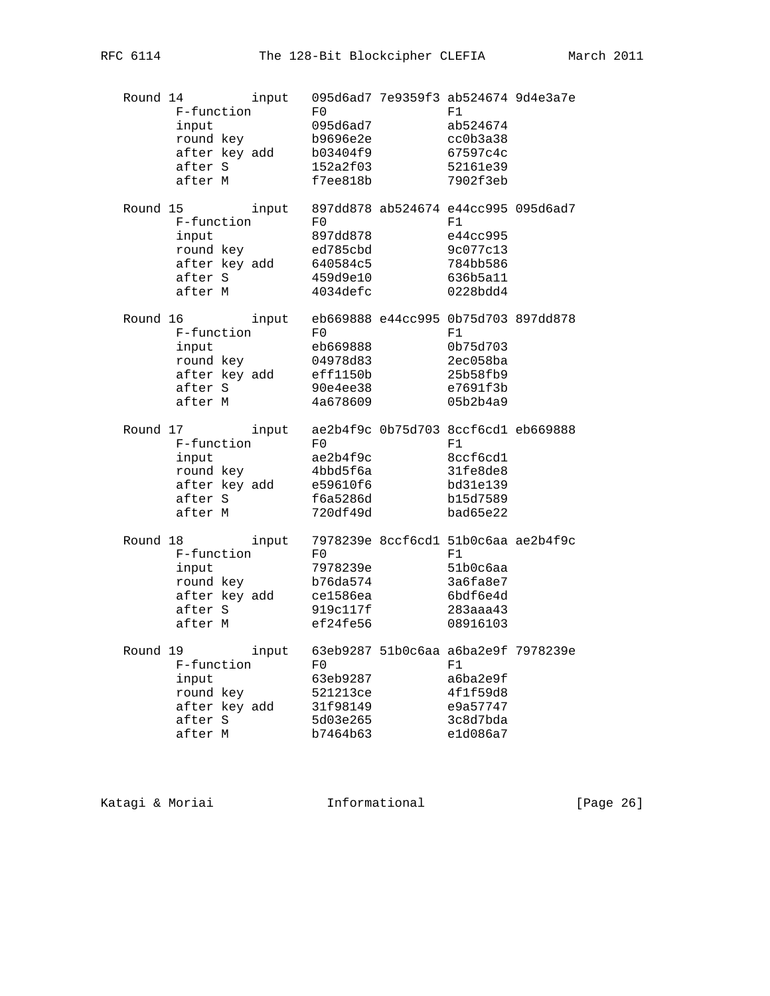| Round 14 | F-function<br>input<br>round key<br>after key add<br>after S<br>after M             | input | F0<br>095d6ad7<br>b9696e2e<br>b03404f9<br>152a2f03<br>f7ee818b | 095d6ad7 7e9359f3 ab524674 9d4e3a7e<br>F1<br>ab524674<br>cc0b3a38<br>67597c4c<br>52161e39<br>7902f3eb |  |
|----------|-------------------------------------------------------------------------------------|-------|----------------------------------------------------------------|-------------------------------------------------------------------------------------------------------|--|
|          | Round 15<br>F-function<br>input<br>round key<br>after key add<br>after S<br>after M | input | F0<br>897dd878<br>ed785cbd<br>640584c5<br>459d9e10<br>4034defc | 897dd878 ab524674 e44cc995 095d6ad7<br>F1<br>e44cc995<br>9c077c13<br>784bb586<br>636b5a11<br>0228bdd4 |  |
|          | Round 16<br>F-function<br>input<br>round key<br>after key add<br>after S<br>after M | input | F0<br>eb669888<br>04978d83<br>eff1150b<br>90e4ee38<br>4a678609 | eb669888 e44cc995 0b75d703 897dd878<br>F1<br>0b75d703<br>2ec058ba<br>25b58fb9<br>e7691f3b<br>05b2b4a9 |  |
|          | Round 17<br>F-function<br>input<br>round key<br>after key add<br>after S<br>after M | input | F0<br>ae2b4f9c<br>4bbd5f6a<br>e59610f6<br>f6a5286d<br>720df49d | ae2b4f9c 0b75d703 8ccf6cd1 eb669888<br>F1<br>8ccf6cd1<br>31fe8de8<br>bd31e139<br>b15d7589<br>bad65e22 |  |
|          | Round 18<br>F-function<br>input<br>round key<br>after key add<br>after S<br>after M | input | F0<br>7978239e<br>b76da574<br>ce1586ea<br>919c117f<br>ef24fe56 | 7978239e 8ccf6cdl 51b0c6aa ae2b4f9c<br>F1<br>51b0c6aa<br>3a6fa8e7<br>6bdf6e4d<br>283aaa43<br>08916103 |  |
|          | Round 19<br>F-function<br>input<br>round key<br>after key add<br>after S<br>after M | input | F0<br>63eb9287<br>521213ce<br>31f98149<br>5d03e265<br>b7464b63 | 63eb9287 51b0c6aa a6ba2e9f 7978239e<br>F1<br>a6ba2e9f<br>4f1f59d8<br>e9a57747<br>3c8d7bda<br>e1d086a7 |  |

Katagi & Moriai **Informational** [Page 26]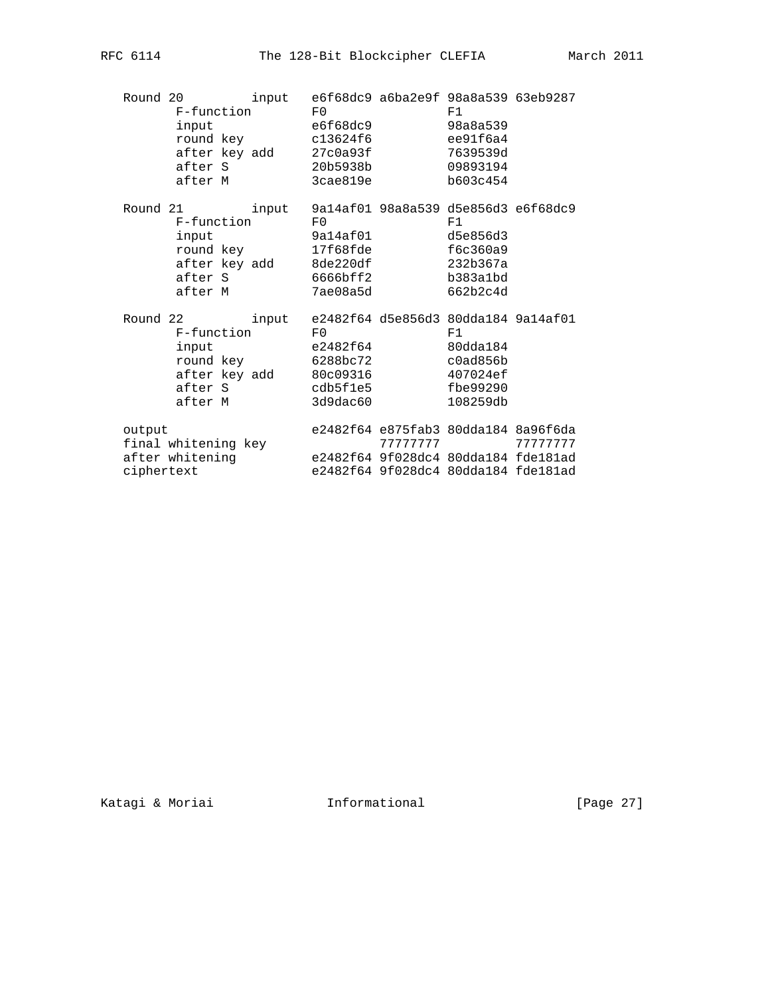| Round 20<br>F-function<br>input<br>round key c13624f6<br>after key add 27c0a93f<br>after S 20b5938b<br>after M                                     | F <sub>0</sub> | input e6f68dc9 a6ba2e9f 98a8a539 63eb9287<br>e6f68dc9<br>3cae819e             | F1<br>98a8a539<br>ee91f6a4<br>7639539d<br>09893194<br>b603c454                          |                                     |
|----------------------------------------------------------------------------------------------------------------------------------------------------|----------------|-------------------------------------------------------------------------------|-----------------------------------------------------------------------------------------|-------------------------------------|
| Round 21 input 9a14af01 98a8a539 d5e856d3 e6f68dc9<br>F-function F0<br>input<br>round key 17f68fde<br>after key add 8de220df<br>after S<br>after M |                | 9a14af01<br>6666bff2<br>7ae08a5d                                              | F1<br>d5e856d3<br>f6c360a9<br>232b367a<br>b383a1bd<br>662b2c4d                          |                                     |
| Round 22<br>F-function F0<br>input<br>round key 6288bc72<br>after key add 80c09316<br>after S<br>after M                                           |                | input e2482f64 d5e856d3 80dda184 9a14af01<br>e2482f64<br>cdb5f1e5<br>3d9dac60 | F1<br>80dda184<br>c0a d856b<br>407024ef<br>fbe99290<br>108259db                         |                                     |
| output<br>final whitening key<br>after whitening<br>ciphertext                                                                                     |                | e2482f64 9f028dc4 80dda184 fde181ad                                           | $\begin{array}{ccc}\nTTTTTT & & & \n\end{array}$<br>e2482f64 9f028dc4 80dda184 fde181ad | e2482f64 e875fab3 80dda184 8a96f6da |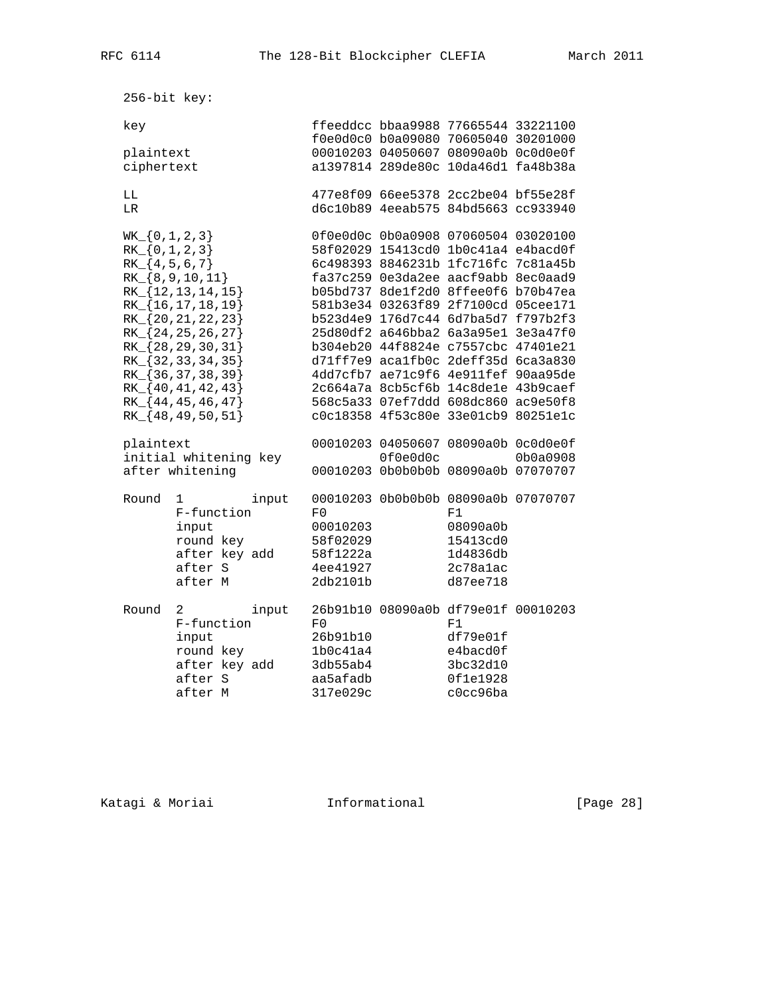256-bit key: key ffeeddcc bbaa9988 77665544 33221100 f0e0d0c0 b0a09080 70605040 30201000 plaintext 00010203 04050607 08090a0b 0c0d0e0f ciphertext a1397814 289de80c 10da46d1 fa48b38a LL 477e8f09 66ee5378 2cc2be04 bf55e28f LR d6c10b89 4eeab575 84bd5663 cc933940 WK\_{0,1,2,3} 0f0e0d0c 0b0a0908 07060504 03020100 RK\_{0,1,2,3} 58f02029 15413cd0 1b0c41a4 e4bacd0f RK\_{4,5,6,7} 6c498393 8846231b 1fc716fc 7c81a45b RK\_{8,9,10,11} fa37c259 0e3da2ee aacf9abb 8ec0aad9 RK\_{12,13,14,15} b05bd737 8de1f2d0 8ffee0f6 b70b47ea RK\_{16,17,18,19} 581b3e34 03263f89 2f7100cd 05cee171 RK\_{20,21,22,23} b523d4e9 176d7c44 6d7ba5d7 f797b2f3 RK\_{24,25,26,27} 25d80df2 a646bba2 6a3a95e1 3e3a47f0 RK\_{28,29,30,31} b304eb20 44f8824e c7557cbc 47401e21 RK\_{32,33,34,35} d71ff7e9 aca1fb0c 2deff35d 6ca3a830 RK\_{36,37,38,39} 4dd7cfb7 ae71c9f6 4e911fef 90aa95de RK\_{40,41,42,43} 2c664a7a 8cb5cf6b 14c8de1e 43b9caef RK\_{44,45,46,47} 568c5a33 07ef7ddd 608dc860 ac9e50f8 RK\_{48,49,50,51} c0c18358 4f53c80e 33e01cb9 80251e1c plaintext 00010203 04050607 08090a0b 0c0d0e0f initial whitening key 0f0e0d0c 0b0a0908 after whitening 00010203 0b0b0b0b 08090a0b 07070707 Round 1 input 00010203 0b0b0b0b 08090a0b 07070707 F-function F0 F1 input 00010203 08090a0b round key 58f02029 15413cd0 after key add 58f1222a 1d4836db after S 4ee41927 2c78a1ac after M 2db2101b d87ee718 Round 2 input 26b91b10 08090a0b df79e01f 00010203 F-function F0 F1 input 26b91b10 df79e01f round key  $1b0c41a4$  e4bacd0f after key add 3db55ab4 3bc32d10 after S aa5afadb 0f1e1928 after M 317e029c c0cc96ba

Katagi & Moriai **Informational** [Page 28]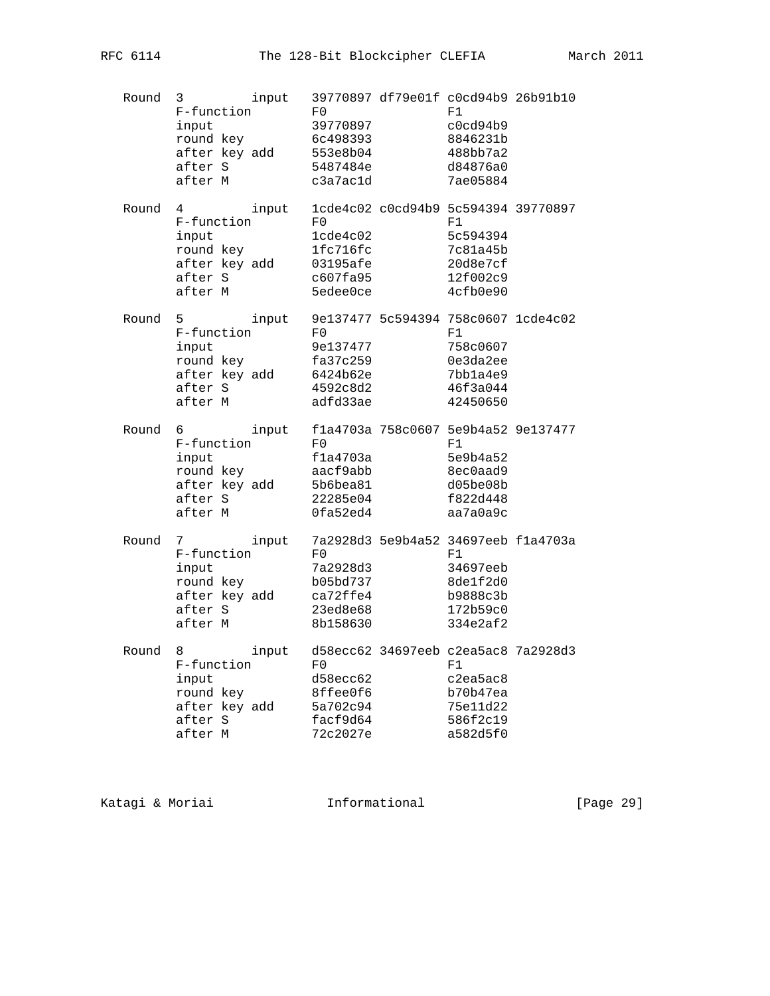| Round | 3<br>F-function<br>input<br>round key<br>after key add<br>after S<br>after M                 | input | F0<br>39770897<br>6c498393<br>553e8b04<br>5487484e<br>c3a7ac1d           | 39770897 df79e01f c0cd94b9 26b91b10<br>F1<br>c0cd94b9<br>8846231b<br>488bb7a2<br>d84876a0<br>7ae05884 |  |
|-------|----------------------------------------------------------------------------------------------|-------|--------------------------------------------------------------------------|-------------------------------------------------------------------------------------------------------|--|
| Round | 4<br>F-function<br>input<br>round key<br>after key add<br>after S<br>after M                 | input | F0<br>$1$ cde $4$ c $02$<br>1fc716fc<br>03195afe<br>c607fa95<br>5edee0ce | 1cde4c02 c0cd94b9 5c594394 39770897<br>F1<br>5c594394<br>7c81a45b<br>20d8e7cf<br>12f002c9<br>4cfb0e90 |  |
| Round | $5^{\circ}$<br>F-function<br>input<br>round key<br>after key add<br>after S<br>after M       | input | $_{\rm F0}$<br>9e137477<br>fa37c259<br>6424b62e<br>4592c8d2<br>adfd33ae  | 9e137477 5c594394 758c0607 1cde4c02<br>F1<br>758c0607<br>0e3da2ee<br>7bbla4e9<br>46f3a044<br>42450650 |  |
| Round | $6 \qquad \qquad$<br>F-function<br>input<br>round key<br>after key add<br>after S<br>after M | input | F0<br>f1a4703a<br>aacf9abb<br>5b6bea81<br>22285e04<br>0fa52ed4           | f1a4703a 758c0607 5e9b4a52 9e137477<br>F1<br>5e9b4a52<br>8ec0aad9<br>d05be08b<br>f822d448<br>aa7a0a9c |  |
| Round | 7<br>F-function<br>input<br>round key<br>after key add<br>after S<br>after M                 | input | F0<br>7a2928d3<br>b05bd737<br>ca72ffe4<br>23ed8e68<br>8b158630           | 7a2928d3 5e9b4a52 34697eeb f1a4703a<br>F1<br>34697eeb<br>8de1f2d0<br>b9888c3b<br>172b59c0<br>334e2af2 |  |
| Round | 8<br>F-function<br>input<br>round key<br>after key add<br>after S<br>after M                 | input | F0<br>d58ecc62<br>8ffee0f6<br>5a702c94<br>facf9d64<br>72c2027e           | d58ecc62 34697eeb c2ea5ac8 7a2928d3<br>F1<br>c2ea5ac8<br>b70b47ea<br>75e11d22<br>586f2c19<br>a582d5f0 |  |

Katagi & Moriai **Informational** [Page 29]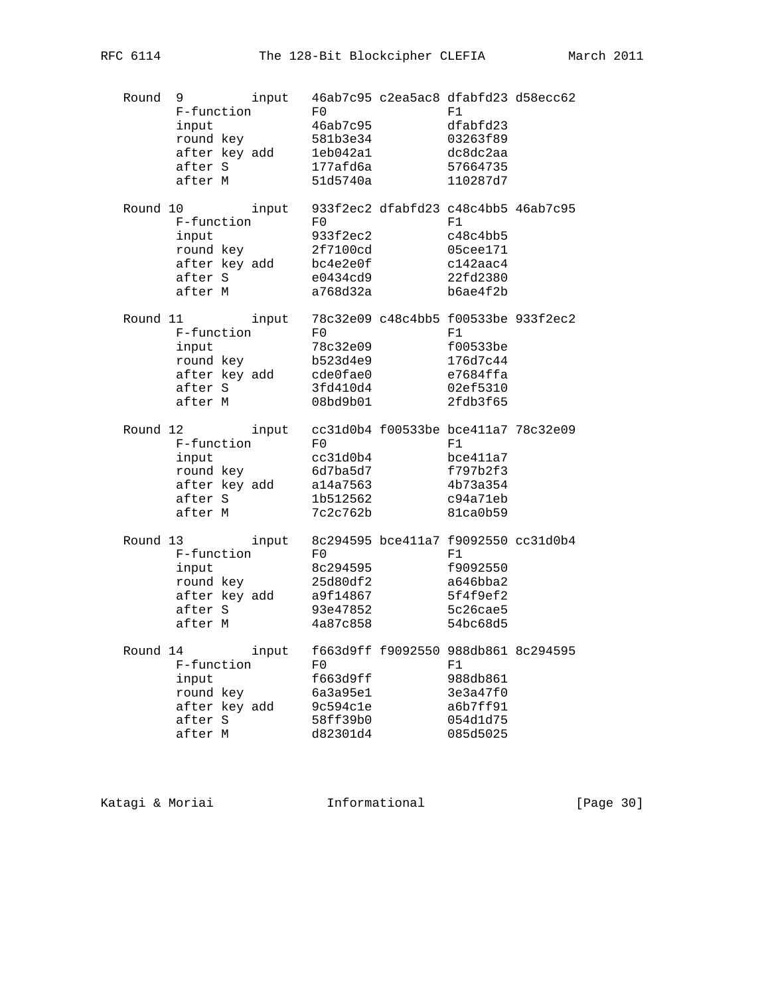| Round | 9<br>F-function<br>input<br>round key<br>after key add<br>after S<br>after M        | input | F0<br>46ab7c95<br>581b3e34<br>leb042a1<br>177afd6a<br>51d5740a | 46ab7c95 c2ea5ac8 dfabfd23 d58ecc62<br>F1<br>dfabfd23<br>03263f89<br>dc8dc2aa<br>57664735<br>110287d7 |  |
|-------|-------------------------------------------------------------------------------------|-------|----------------------------------------------------------------|-------------------------------------------------------------------------------------------------------|--|
|       | Round 10<br>F-function<br>input<br>round key<br>after key add<br>after S<br>after M | input | F0<br>933f2ec2<br>2f7100cd<br>bc4e2e0f<br>e0434cd9<br>a768d32a | 933f2ec2 dfabfd23 c48c4bb5 46ab7c95<br>F1<br>c48c4bb5<br>05cee171<br>c142aac4<br>22fd2380<br>b6ae4f2b |  |
|       | Round 11<br>F-function<br>input<br>round key<br>after key add<br>after S<br>after M | input | F0<br>78c32e09<br>b523d4e9<br>cde0fae0<br>3fd410d4<br>08bd9b01 | 78c32e09 c48c4bb5 f00533be 933f2ec2<br>F1<br>f00533be<br>176d7c44<br>e7684ffa<br>02ef5310<br>2fdb3f65 |  |
|       | Round 12<br>F-function<br>input<br>round key<br>after key add<br>after S<br>after M | input | F0<br>cc31d0b4<br>6d7ba5d7<br>a14a7563<br>1b512562<br>7c2c762b | cc31d0b4 f00533be bce411a7 78c32e09<br>F1<br>bce411a7<br>f797b2f3<br>4b73a354<br>c94a71eb<br>81ca0b59 |  |
|       | Round 13<br>F-function<br>input<br>round key<br>after key add<br>after S<br>after M | input | F0<br>8c294595<br>25d80df2<br>a9f14867<br>93e47852<br>4a87c858 | 8c294595 bce411a7 f9092550 cc31d0b4<br>F1<br>f9092550<br>a646bba2<br>5f4f9ef2<br>5c26cae5<br>54bc68d5 |  |
|       | Round 14<br>F-function<br>input<br>round key<br>after key add<br>after S<br>after M | input | F0<br>f663d9ff<br>6a3a95e1<br>9c594c1e<br>58ff39b0<br>d82301d4 | f663d9ff f9092550 988db861 8c294595<br>F1<br>988db861<br>3e3a47f0<br>a6b7ff91<br>054d1d75<br>085d5025 |  |

Katagi & Moriai **Informational** [Page 30]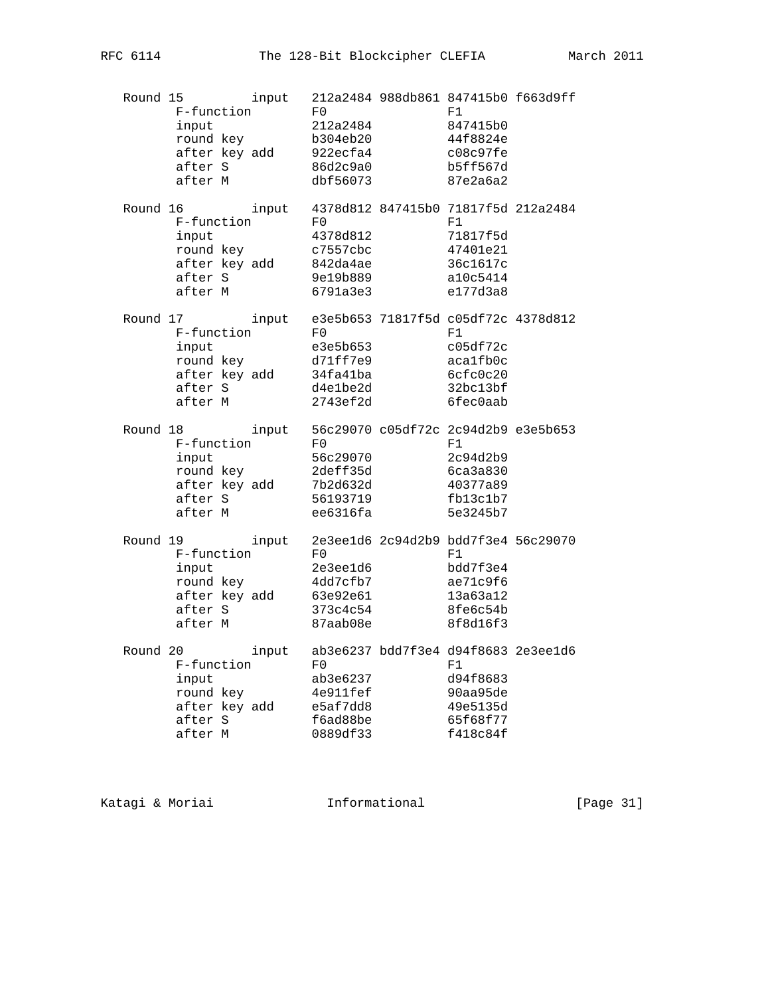| Round 15 | F-function<br>input<br>round key<br>after key add<br>after S<br>after M             | input | F0<br>212a2484<br>b304eb20<br>922ecfa4<br>86d2c9a0<br>dbf56073          | 212a2484 988db861 847415b0 f663d9ff<br>F1<br>847415b0<br>44f8824e<br>c08c97fe<br>b5ff567d<br>87e2a6a2 |  |
|----------|-------------------------------------------------------------------------------------|-------|-------------------------------------------------------------------------|-------------------------------------------------------------------------------------------------------|--|
|          | Round 16<br>F-function<br>input<br>round key<br>after key add<br>after S<br>after M | input | F0<br>4378d812<br>c7557cbc<br>842da4ae<br>9e19b889<br>6791a3e3          | 4378d812 847415b0 71817f5d 212a2484<br>F1<br>71817f5d<br>47401e21<br>36c1617c<br>a10c5414<br>e177d3a8 |  |
|          | Round 17<br>F-function<br>input<br>round key<br>after key add<br>after S<br>after M | input | F0<br>e3e5b653<br>d71ff7e9<br>34fa41ba<br>d4e1be2d<br>2743ef2d          | e3e5b653 71817f5d c05df72c 4378d812<br>F1<br>c05df72c<br>aca1fb0c<br>6cfc0c20<br>32bc13bf<br>6fec0aab |  |
|          | Round 18<br>F-function<br>input<br>round key<br>after key add<br>after S<br>after M | input | $_{\rm F0}$<br>56c29070<br>2deff35d<br>7b2d632d<br>56193719<br>ee6316fa | 56c29070 c05df72c 2c94d2b9 e3e5b653<br>F1<br>2c94d2b9<br>6ca3a830<br>40377a89<br>fb13c1b7<br>5e3245b7 |  |
|          | Round 19<br>F-function<br>input<br>round key<br>after key add<br>after S<br>after M | input | F0<br>2e3ee1d6<br>4dd7cfb7<br>63e92e61<br>373c4c54<br>87aab08e          | 2e3ee1d6 2c94d2b9 bdd7f3e4 56c29070<br>F1<br>bdd7f3e4<br>ae71c9f6<br>13a63a12<br>8fe6c54b<br>8f8d16f3 |  |
|          | Round 20<br>F-function<br>input<br>round key<br>after key add<br>after S<br>after M | input | F0<br>ab3e6237<br>4e911fef<br>e5af7dd8<br>f6ad88be<br>0889df33          | ab3e6237 bdd7f3e4 d94f8683 2e3ee1d6<br>F1<br>d94f8683<br>90aa95de<br>49e5135d<br>65f68f77<br>f418c84f |  |

Katagi & Moriai **Informational** [Page 31]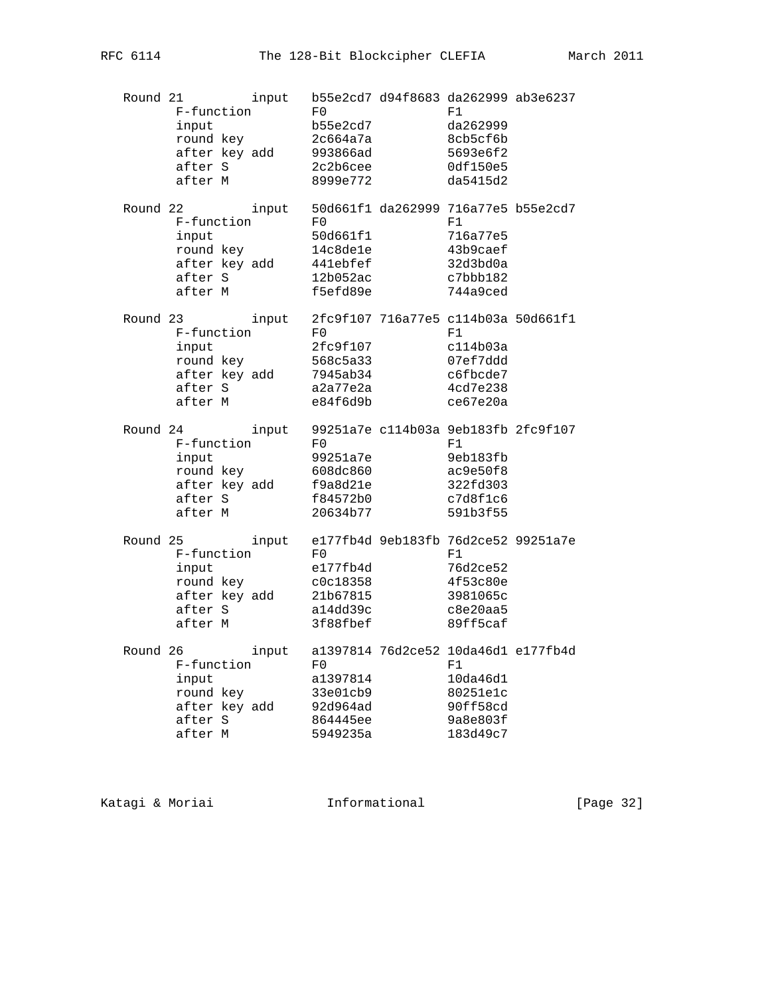| Round 21 | F-function<br>input<br>round key<br>after key add 993866ad<br>after S<br>after M             | input | F0<br>b55e2cd7<br>2c664a7a<br>2c2b6cee<br>8999e772                             | b55e2cd7 d94f8683 da262999 ab3e6237<br>F1<br>da262999<br>8cb5cf6b<br>5693e6f2<br>0df150e5<br>da5415d2       |  |
|----------|----------------------------------------------------------------------------------------------|-------|--------------------------------------------------------------------------------|-------------------------------------------------------------------------------------------------------------|--|
|          | Round 22<br>Z<br>F-function<br>input<br>round key<br>after key add<br>after S<br>after M     | input | F0<br>50d661f1<br>14c8de1e<br>441ebfef<br>12b052ac<br>f5efd89e                 | 50d661f1 da262999 716a77e5 b55e2cd7<br>F1<br>716a77e5<br>43b9caef<br>32d3bd0a<br>c7bbb182<br>744a9ced       |  |
|          | Round 23<br>F-function<br>input<br>round key<br>after key add<br>after S<br>after M          |       | F0<br>2fc9f107<br>568c5a33<br>7945ab34<br>a2a77e2a<br>e84f6d9b                 | input 2fc9f107 716a77e5 c114b03a 50d661f1<br>F1<br>c114b03a<br>07ef7ddd<br>c6fbcde7<br>4cd7e238<br>ce67e20a |  |
|          | Round 24<br>F-function<br>input<br>round key<br>after key add f9a8d21e<br>after S<br>after M | input | $_{\rm F0}$<br>99251a7e<br>992512<br>608dc860<br>0421e<br>f84572b0<br>20634b77 | 99251a7e c114b03a 9eb183fb 2fc9f107<br>F1<br>9eb183fb<br>ac9e50f8<br>322fd303<br>c7d8f1c6<br>591b3f55       |  |
|          | Round 25<br>'5<br>F-function<br>input<br>round key<br>after key add<br>after S<br>after M    | input | F0<br>e177fb4d<br>c0c18358<br>21b67815<br>a14dd39c<br>3f88fbef                 | e177fb4d 9eb183fb 76d2ce52 99251a7e<br>F1<br>76d2ce52<br>4f53c80e<br>3981065c<br>c8e20aa5<br>89ff5caf       |  |
|          | Round 26<br>F-function<br>input<br>round key<br>after key add<br>after S<br>after M          | input | $_{\rm F0}$<br>a1397814<br>33e01cb9<br>92d964ad<br>864445ee<br>5949235a        | a1397814 76d2ce52 10da46d1 e177fb4d<br>F1<br>10da46d1<br>80251e1c<br>90ff58cd<br>9a8e803f<br>183d49c7       |  |

Katagi & Moriai **Informational** [Page 32]